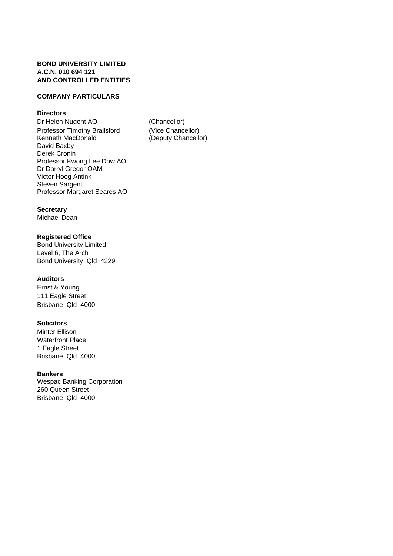### **BOND UNIVERSITY LIMITED A.C.N. 010 694 121 AND CONTROLLED ENTITIES**

### **COMPANY PARTICULARS**

### **Directors**

Dr Helen Nugent AO (Chancellor) Professor Timothy Brailsford (Vice Chancellor) Kenneth MacDonald (Deputy Chancellor) David Baxby Derek Cronin Professor Kwong Lee Dow AO Dr Darryl Gregor OAM Victor Hoog Antink Steven Sargent Professor Margaret Seares AO

### **Secretary**

Michael Dean

### **Registered Office**

Bond University Limited Level 6, The Arch Bond University Qld 4229

### **Auditors**

Ernst & Young 111 Eagle Street Brisbane Qld 4000

### **Solicitors**

Minter Ellison Waterfront Place 1 Eagle Street Brisbane Qld 4000

### **Bankers**

Wespac Banking Corporation 260 Queen Street Brisbane Qld 4000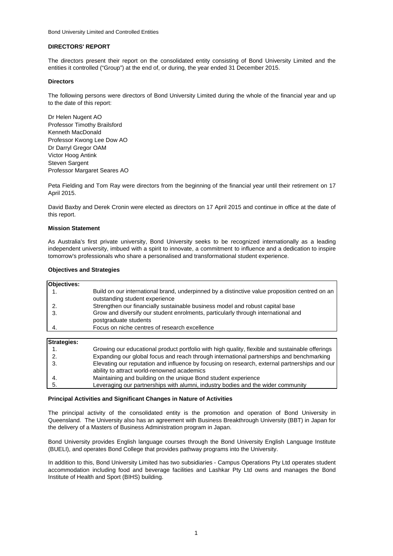#### **DIRECTORS' REPORT**

The directors present their report on the consolidated entity consisting of Bond University Limited and the entities it controlled ("Group") at the end of, or during, the year ended 31 December 2015.

#### **Directors**

The following persons were directors of Bond University Limited during the whole of the financial year and up to the date of this report:

Dr Helen Nugent AO Professor Timothy Brailsford Kenneth MacDonald Professor Kwong Lee Dow AO Dr Darryl Gregor OAM Victor Hoog Antink Steven Sargent Professor Margaret Seares AO

Peta Fielding and Tom Ray were directors from the beginning of the financial year until their retirement on 17 April 2015.

David Baxby and Derek Cronin were elected as directors on 17 April 2015 and continue in office at the date of this report.

#### **Mission Statement**

As Australia's first private university, Bond University seeks to be recognized internationally as a leading independent university, imbued with a spirit to innovate, a commitment to influence and a dedication to inspire tomorrow's professionals who share a personalised and transformational student experience.

#### **Objectives and Strategies**

| <b>Objectives:</b> |                                                                                                                                  |
|--------------------|----------------------------------------------------------------------------------------------------------------------------------|
|                    | Build on our international brand, underpinned by a distinctive value proposition centred on an<br>outstanding student experience |
|                    | Strengthen our financially sustainable business model and robust capital base                                                    |
|                    | Grow and diversify our student enrolments, particularly through international and<br>postgraduate students                       |
|                    | Focus on niche centres of research excellence                                                                                    |

| <b>Strategies:</b> |                                                                                                 |
|--------------------|-------------------------------------------------------------------------------------------------|
|                    | Growing our educational product portfolio with high quality, flexible and sustainable offerings |
| 2.                 | Expanding our global focus and reach through international partnerships and benchmarking        |
|                    | Elevating our reputation and influence by focusing on research, external partnerships and our   |
|                    | ability to attract world-renowned academics                                                     |
|                    | Maintaining and building on the unique Bond student experience                                  |
| 5.                 | Leveraging our partnerships with alumni, industry bodies and the wider community                |

#### **Principal Activities and Significant Changes in Nature of Activities**

The principal activity of the consolidated entity is the promotion and operation of Bond University in Queensland. The University also has an agreement with Business Breakthrough University (BBT) in Japan for the delivery of a Masters of Business Administration program in Japan.

Bond University provides English language courses through the Bond University English Language Institute (BUELI), and operates Bond College that provides pathway programs into the University.

In addition to this, Bond University Limited has two subsidiaries - Campus Operations Pty Ltd operates student accommodation including food and beverage facilities and Lashkar Pty Ltd owns and manages the Bond Institute of Health and Sport (BIHS) building.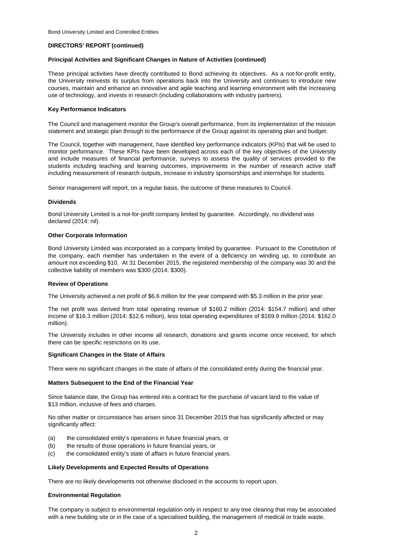#### **Principal Activities and Significant Changes in Nature of Activities (continued)**

These principal activities have directly contributed to Bond achieving its objectives. As a not-for-profit entity, the University reinvests its surplus from operations back into the University and continues to introduce new courses, maintain and enhance an innovative and agile teaching and learning environment with the increasing use of technology, and invests in research (including collaborations with industry partners).

#### **Key Performance Indicators**

The Council and management monitor the Group's overall performance, from its implementation of the mission statement and strategic plan through to the performance of the Group against its operating plan and budget.

The Council, together with management, have identified key performance indicators (KPIs) that will be used to monitor performance. These KPIs have been developed across each of the key objectives of the University and include measures of financial performance, surveys to assess the quality of services provided to the students including teaching and learning outcomes, improvements in the number of research active staff including measurement of research outputs, increase in industry sponsorships and internships for students.

Senior management will report, on a regular basis, the outcome of these measures to Council.

#### **Dividends**

Bond University Limited is a not-for-profit company limited by guarantee. Accordingly, no dividend was declared (2014: nil).

#### **Other Corporate Information**

Bond University Limited was incorporated as a company limited by guarantee. Pursuant to the Constitution of the company, each member has undertaken in the event of a deficiency on winding up, to contribute an amount not exceeding \$10. At 31 December 2015, the registered membership of the company was 30 and the collective liability of members was \$300 (2014: \$300).

#### **Review of Operations**

The University achieved a net profit of \$6.6 million for the year compared with \$5.3 million in the prior year.

The net profit was derived from total operating revenue of \$160.2 million (2014: \$154.7 million) and other income of \$16.3 million (2014: \$12.6 million), less total operating expenditures of \$169.9 million (2014: \$162.0 million).

The University includes in other income all research, donations and grants income once received, for which there can be specific restrictions on its use.

#### **Significant Changes in the State of Affairs**

There were no significant changes in the state of affairs of the consolidated entity during the financial year.

#### **Matters Subsequent to the End of the Financial Year**

Since balance date, the Group has entered into a contract for the purchase of vacant land to the value of \$13 million, inclusive of fees and charges.

No other matter or circumstance has arisen since 31 December 2015 that has significantly affected or may significantly affect:

- (a) the consolidated entity's operations in future financial years, or
- (b) the results of those operations in future financial years, or
- (c) the consolidated entity's state of affairs in future financial years.

#### **Likely Developments and Expected Results of Operations**

There are no likely developments not otherwise disclosed in the accounts to report upon.

#### **Environmental Regulation**

The company is subject to environmental regulation only in respect to any tree clearing that may be associated with a new building site or in the case of a specialised building, the management of medical or trade waste.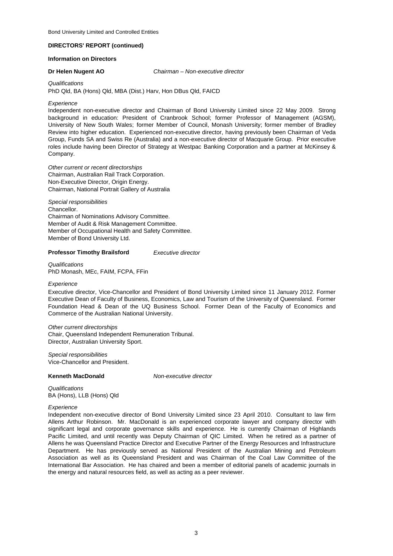#### **Information on Directors**

**Dr Helen Nugent AO** *Chairman – Non-executive director*

*Qualifications*

PhD Qld, BA (Hons) Qld, MBA (Dist.) Harv, Hon DBus Qld, FAICD

#### *Experience*

Independent non-executive director and Chairman of Bond University Limited since 22 May 2009. Strong background in education: President of Cranbrook School; former Professor of Management (AGSM), University of New South Wales; former Member of Council, Monash University; former member of Bradley Review into higher education. Experienced non-executive director, having previously been Chairman of Veda Group, Funds SA and Swiss Re (Australia) and a non-executive director of Macquarie Group. Prior executive roles include having been Director of Strategy at Westpac Banking Corporation and a partner at McKinsey & Company.

*Other current or recent directorships* Chairman, Australian Rail Track Corporation. Non-Executive Director, Origin Energy. Chairman, National Portrait Gallery of Australia

Chancellor. Chairman of Nominations Advisory Committee. Member of Audit & Risk Management Committee. Member of Occupational Health and Safety Committee. *Special responsibilities* Member of Bond University Ltd.

#### **Professor Timothy Brailsford** *Executive director*

*Qualifications* PhD Monash, MEc, FAIM, FCPA, FFin

#### *Experience*

Executive director, Vice-Chancellor and President of Bond University Limited since 11 January 2012. Former Executive Dean of Faculty of Business, Economics, Law and Tourism of the University of Queensland. Former Foundation Head & Dean of the UQ Business School. Former Dean of the Faculty of Economics and Commerce of the Australian National University.

*Other current directorships* Chair, Queensland Independent Remuneration Tribunal. Director, Australian University Sport.

*Special responsibilities* Vice-Chancellor and President.

#### **Kenneth MacDonald**

*Non-executive director*

*Qualifications* BA (Hons), LLB (Hons) Qld

#### *Experience*

Independent non-executive director of Bond University Limited since 23 April 2010. Consultant to law firm Allens Arthur Robinson. Mr. MacDonald is an experienced corporate lawyer and company director with significant legal and corporate governance skills and experience. He is currently Chairman of Highlands Pacific Limited, and until recently was Deputy Chairman of QIC Limited. When he retired as a partner of Allens he was Queensland Practice Director and Executive Partner of the Energy Resources and Infrastructure Department. He has previously served as National President of the Australian Mining and Petroleum Association as well as its Queensland President and was Chairman of the Coal Law Committee of the International Bar Association. He has chaired and been a member of editorial panels of academic journals in the energy and natural resources field, as well as acting as a peer reviewer.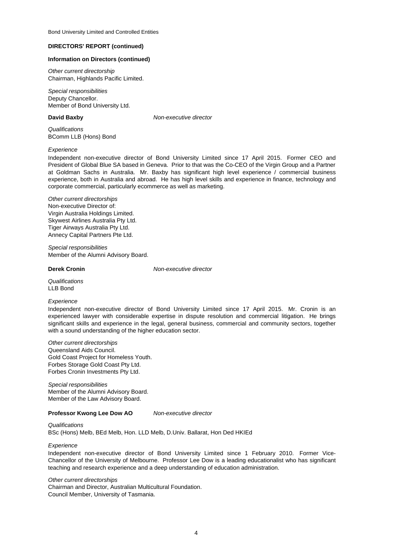#### **Information on Directors (continued)**

*Other current directorship* Chairman, Highlands Pacific Limited.

*Special responsibilities* Deputy Chancellor. Member of Bond University Ltd.

#### **David Baxby**

*Non-executive director*

*Qualifications* BComm LLB (Hons) Bond

#### *Experience*

Independent non-executive director of Bond University Limited since 17 April 2015. Former CEO and President of Global Blue SA based in Geneva. Prior to that was the Co-CEO of the Virgin Group and a Partner at Goldman Sachs in Australia. Mr. Baxby has significant high level experience / commercial business experience, both in Australia and abroad. He has high level skills and experience in finance, technology and corporate commercial, particularly ecommerce as well as marketing.

#### *Other current directorships* Non-executive Director of: Virgin Australia Holdings Limited. Skywest Airlines Australia Pty Ltd. Tiger Airways Australia Pty Ltd. Annecy Capital Partners Pte Ltd.

*Special responsibilities* Member of the Alumni Advisory Board.

**Derek Cronin** *Non-executive director*

*Qualifications* LLB Bond

#### *Experience*

Independent non-executive director of Bond University Limited since 17 April 2015. Mr. Cronin is an experienced lawyer with considerable expertise in dispute resolution and commercial litigation. He brings significant skills and experience in the legal, general business, commercial and community sectors, together with a sound understanding of the higher education sector.

Forbes Cronin Investments Pty Ltd. *Other current directorships* Queensland Aids Council. Gold Coast Project for Homeless Youth. Forbes Storage Gold Coast Pty Ltd.

Member of the Law Advisory Board. Member of the Alumni Advisory Board. *Special responsibilities*

#### **Professor Kwong Lee Dow AO** *Non-executive director*

#### *Qualifications*

BSc (Hons) Melb, BEd Melb, Hon. LLD Melb, D.Univ. Ballarat, Hon Ded HKIEd

#### *Experience*

Independent non-executive director of Bond University Limited since 1 February 2010. Former Vice-Chancellor of the University of Melbourne. Professor Lee Dow is a leading educationalist who has significant teaching and research experience and a deep understanding of education administration.

#### *Other current directorships*

Chairman and Director, Australian Multicultural Foundation. Council Member, University of Tasmania.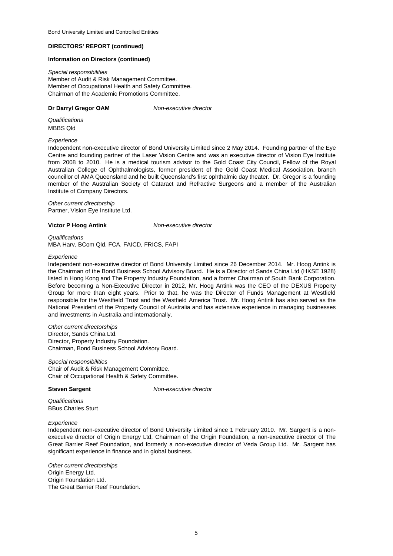#### **Information on Directors (continued)**

*Special responsibilities* Member of Audit & Risk Management Committee. Member of Occupational Health and Safety Committee. Chairman of the Academic Promotions Committee.

#### **Dr Darryl Gregor OAM**

*Non-executive director*

*Qualifications* MBBS Qld

#### *Experience*

Independent non-executive director of Bond University Limited since 2 May 2014. Founding partner of the Eye Centre and founding partner of the Laser Vision Centre and was an executive director of Vision Eye Institute from 2008 to 2010. He is a medical tourism advisor to the Gold Coast City Council, Fellow of the Royal Australian College of Ophthalmologists, former president of the Gold Coast Medical Association, branch councillor of AMA Queensland and he built Queensland's first ophthalmic day theater. Dr. Gregor is a founding member of the Australian Society of Cataract and Refractive Surgeons and a member of the Australian Institute of Company Directors.

*Other current directorship* Partner, Vision Eye Institute Ltd.

#### **Victor P Hoog Antink**

*Non-executive director*

*Qualifications* MBA Harv, BCom Qld, FCA, FAICD, FRICS, FAPI

#### *Experience*

Independent non-executive director of Bond University Limited since 26 December 2014. Mr. Hoog Antink is the Chairman of the Bond Business School Advisory Board. He is a Director of Sands China Ltd (HKSE 1928) listed in Hong Kong and The Property Industry Foundation, and a former Chairman of South Bank Corporation. Before becoming a Non-Executive Director in 2012, Mr. Hoog Antink was the CEO of the DEXUS Property Group for more than eight years. Prior to that, he was the Director of Funds Management at Westfield responsible for the Westfield Trust and the Westfield America Trust. Mr. Hoog Antink has also served as the National President of the Property Council of Australia and has extensive experience in managing businesses and investments in Australia and internationally.

Director, Property Industry Foundation. Chairman, Bond Business School Advisory Board. *Other current directorships* Director, Sands China Ltd.

*Special responsibilities* Chair of Occupational Health & Safety Committee. Chair of Audit & Risk Management Committee.

#### **Steven Sargent**

*Non-executive director*

*Qualifications* BBus Charles Sturt

#### *Experience*

Independent non-executive director of Bond University Limited since 1 February 2010. Mr. Sargent is a nonexecutive director of Origin Energy Ltd, Chairman of the Origin Foundation, a non-executive director of The Great Barrier Reef Foundation, and formerly a non-executive director of Veda Group Ltd. Mr. Sargent has significant experience in finance and in global business.

The Great Barrier Reef Foundation. *Other current directorships* Origin Energy Ltd. Origin Foundation Ltd.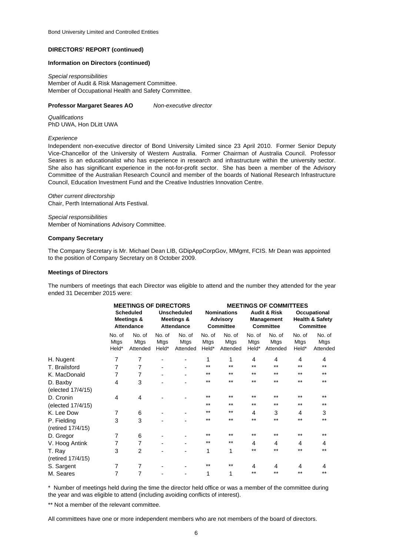#### **Information on Directors (continued)**

*Special responsibilities* Member of Audit & Risk Management Committee. Member of Occupational Health and Safety Committee.

#### **Professor Margaret Seares AO**

*Qualifications* PhD UWA, Hon DLitt UWA

*Experience*

Independent non-executive director of Bond University Limited since 23 April 2010. Former Senior Deputy Vice-Chancellor of the University of Western Australia. Former Chairman of Australia Council. Professor Seares is an educationalist who has experience in research and infrastructure within the university sector. She also has significant experience in the not-for-profit sector. She has been a member of the Advisory Committee of the Australian Research Council and member of the boards of National Research Infrastructure Council, Education Investment Fund and the Creative Industries Innovation Centre.

*Non-executive director*

Chair, Perth International Arts Festival. *Other current directorship*

*Special responsibilities* Member of Nominations Advisory Committee.

#### **Company Secretary**

The Company Secretary is Mr. Michael Dean LIB, GDipAppCorpGov, MMgmt, FCIS. Mr Dean was appointed to the position of Company Secretary on 8 October 2009.

#### **Meetings of Directors**

The numbers of meetings that each Director was eligible to attend and the number they attended for the year ended 31 December 2015 were:

| <b>MEETINGS OF DIRECTORS</b>                        |                            |                                                | <b>MEETINGS OF COMMITTEES</b> |                                                           |                            |                                                                  |                            |                                                                |                                   |
|-----------------------------------------------------|----------------------------|------------------------------------------------|-------------------------------|-----------------------------------------------------------|----------------------------|------------------------------------------------------------------|----------------------------|----------------------------------------------------------------|-----------------------------------|
| <b>Scheduled</b><br>Meetings &<br><b>Attendance</b> |                            | <b>Unscheduled</b><br>Meetings &<br>Attendance |                               | <b>Nominations</b><br><b>Advisory</b><br><b>Committee</b> |                            | <b>Audit &amp; Risk</b><br><b>Management</b><br><b>Committee</b> |                            | Occupational<br><b>Health &amp; Safety</b><br><b>Committee</b> |                                   |
| No. of<br><b>Mtgs</b><br>Held*                      | No. of<br>Mtgs<br>Attended | No. of<br>Mtgs<br>Held*                        | No. of<br>Mtgs<br>Attended    | No. of<br><b>Mtgs</b><br>Held*                            | No. of<br>Mtgs<br>Attended | No. of<br><b>Mtgs</b><br>Held*                                   | No. of<br>Mtgs<br>Attended | No. of<br><b>Mtgs</b><br>Held*                                 | No. of<br><b>Mtgs</b><br>Attended |
| 7                                                   | 7                          |                                                |                               | 1                                                         | 1                          | 4                                                                | 4                          | 4                                                              | 4                                 |
| 7                                                   | $\overline{7}$             |                                                |                               | $**$                                                      | $***$                      | $***$                                                            | $***$                      | $**$                                                           | $***$                             |
| $\overline{7}$                                      | $\overline{7}$             |                                                |                               | $**$                                                      | $***$                      | **                                                               | $***$                      | $**$                                                           | $***$                             |
| 4                                                   | 3                          |                                                |                               | $***$                                                     | $***$                      | $***$                                                            | $***$                      | $***$                                                          | $***$                             |
|                                                     |                            |                                                |                               |                                                           |                            |                                                                  |                            |                                                                |                                   |
| 4                                                   | 4                          |                                                |                               | $***$                                                     | $***$                      | $***$                                                            | $***$                      | $***$                                                          | $***$                             |
|                                                     |                            |                                                |                               | $***$                                                     | $***$                      | $***$                                                            | $***$                      | $***$                                                          | $***$                             |
| 7                                                   | 6                          |                                                |                               | $**$                                                      | $***$                      | 4                                                                | 3                          | 4                                                              | 3                                 |
| 3                                                   | 3                          |                                                |                               | $***$                                                     | $***$                      | $***$                                                            | $***$                      | $***$                                                          | $***$                             |
|                                                     |                            |                                                |                               |                                                           |                            |                                                                  |                            |                                                                |                                   |
| 7                                                   | 6                          |                                                |                               | $**$                                                      | $***$                      | **                                                               | $***$                      | $**$                                                           | $***$                             |
| 7                                                   | 7                          |                                                |                               | $**$                                                      | $***$                      | 4                                                                | 4                          | 4                                                              | 4                                 |
| 3                                                   | 2                          |                                                |                               | 1                                                         | 1                          | **                                                               | $***$                      | $**$                                                           | $***$                             |
|                                                     |                            |                                                |                               |                                                           |                            |                                                                  |                            |                                                                |                                   |
| 7                                                   | 7                          |                                                |                               | $**$                                                      | $***$                      | 4                                                                | 4                          | 4                                                              | 4                                 |
| 7                                                   | 7                          |                                                |                               | 1                                                         | 1                          | $***$                                                            | $***$                      | $***$                                                          | $***$                             |
|                                                     |                            |                                                |                               |                                                           |                            |                                                                  |                            |                                                                |                                   |

\* Number of meetings held during the time the director held office or was a member of the committee during the year and was eligible to attend (including avoiding conflicts of interest).

\*\* Not a member of the relevant committee.

All committees have one or more independent members who are not members of the board of directors.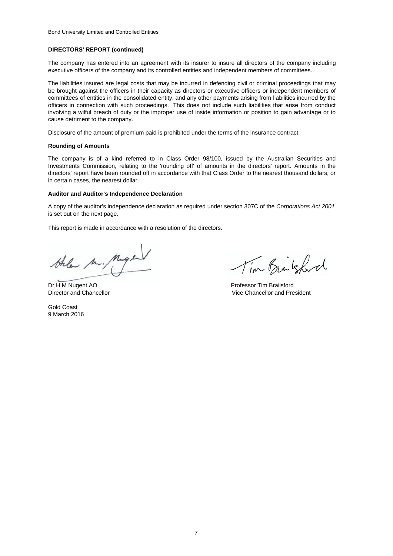The company has entered into an agreement with its insurer to insure all directors of the company including executive officers of the company and its controlled entities and independent members of committees.

The liabilities insured are legal costs that may be incurred in defending civil or criminal proceedings that may be brought against the officers in their capacity as directors or executive officers or independent members of committees of entities in the consolidated entity, and any other payments arising from liabilities incurred by the officers in connection with such proceedings. This does not include such liabilities that arise from conduct involving a wilful breach of duty or the improper use of inside information or position to gain advantage or to cause detriment to the company.

Disclosure of the amount of premium paid is prohibited under the terms of the insurance contract.

#### **Rounding of Amounts**

The company is of a kind referred to in Class Order 98/100, issued by the Australian Securities and Investments Commission, relating to the 'rounding off' of amounts in the directors' report. Amounts in the directors' report have been rounded off in accordance with that Class Order to the nearest thousand dollars, or in certain cases, the nearest dollar.

#### **Auditor and Auditor's Independence Declaration**

A copy of the auditor's independence declaration as required under section 307C of the *Corporations Act 2001* is set out on the next page.

This report is made in accordance with a resolution of the directors.

the M. Maple

Dr H M Nugent AO Professor Tim Brailsford

Gold Coast 9 March 2016

Tim Brakford

Director and Chancellor Vice Chancellor and President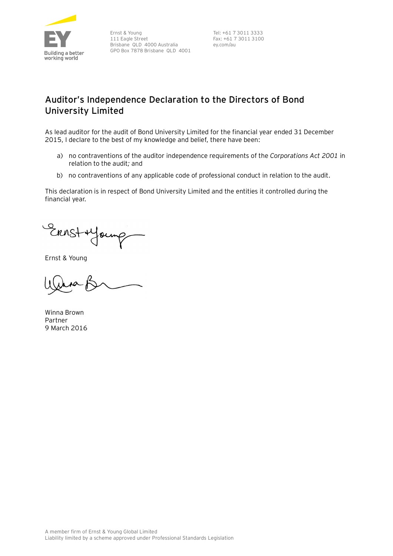

Ernst & Young 111 Eagle Street Brisbane QLD 4000 Australia GPO Box 7878 Brisbane QLD 4001

Tel: +61 7 3011 3333 Fax: +61 7 3011 3100 ey.com/au

# **Auditor's Independence Declaration to the Directors of Bond University Limited**

As lead auditor for the audit of Bond University Limited for the financial year ended 31 December 2015, I declare to the best of my knowledge and belief, there have been:

- a) no contraventions of the auditor independence requirements of the *Corporations Act 2001* in relation to the audit*;* and
- b) no contraventions of any applicable code of professional conduct in relation to the audit.

This declaration is in respect of Bond University Limited and the entities it controlled during the financial year.

Ernst + Young

Ernst & Young

Winna Brown Partner 9 March 2016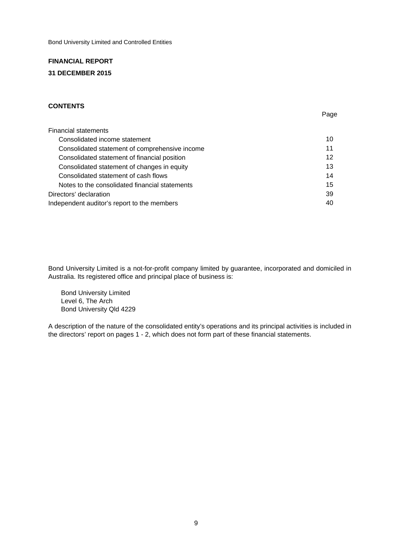# **FINANCIAL REPORT 31 DECEMBER 2015**

### **CONTENTS**

| <b>Financial statements</b>                    |    |
|------------------------------------------------|----|
| Consolidated income statement                  | 10 |
| Consolidated statement of comprehensive income | 11 |
| Consolidated statement of financial position   | 12 |
| Consolidated statement of changes in equity    | 13 |
| Consolidated statement of cash flows           | 14 |
| Notes to the consolidated financial statements | 15 |
| Directors' declaration                         | 39 |
| Independent auditor's report to the members    | 40 |

Page

Bond University Limited is a not-for-profit company limited by guarantee, incorporated and domiciled in Australia. Its registered office and principal place of business is:

 Bond University Limited Level 6, The Arch Bond University Qld 4229

A description of the nature of the consolidated entity's operations and its principal activities is included in the directors' report on pages 1 - 2, which does not form part of these financial statements.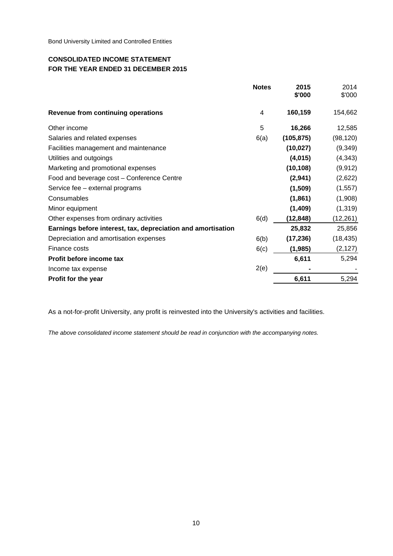## **CONSOLIDATED INCOME STATEMENT FOR THE YEAR ENDED 31 DECEMBER 2015**

|                                                              | <b>Notes</b>   | 2015<br>\$'000 | 2014<br>\$'000 |
|--------------------------------------------------------------|----------------|----------------|----------------|
| <b>Revenue from continuing operations</b>                    | $\overline{4}$ | 160,159        | 154,662        |
| Other income                                                 | 5              | 16,266         | 12,585         |
| Salaries and related expenses                                | 6(a)           | (105, 875)     | (98, 120)      |
| Facilities management and maintenance                        |                | (10, 027)      | (9,349)        |
| Utilities and outgoings                                      |                | (4,015)        | (4, 343)       |
| Marketing and promotional expenses                           |                | (10, 108)      | (9, 912)       |
| Food and beverage cost - Conference Centre                   |                | (2,941)        | (2,622)        |
| Service fee - external programs                              |                | (1,509)        | (1, 557)       |
| Consumables                                                  |                | (1, 861)       | (1,908)        |
| Minor equipment                                              |                | (1,409)        | (1, 319)       |
| Other expenses from ordinary activities                      | 6(d)           | (12,848)       | (12,261)       |
| Earnings before interest, tax, depreciation and amortisation |                | 25,832         | 25,856         |
| Depreciation and amortisation expenses                       | 6(b)           | (17, 236)      | (18, 435)      |
| Finance costs                                                | 6(c)           | (1, 985)       | (2, 127)       |
| Profit before income tax                                     |                | 6,611          | 5,294          |
| Income tax expense                                           | 2(e)           |                |                |
| Profit for the year                                          |                | 6,611          | 5,294          |

As a not-for-profit University, any profit is reinvested into the University's activities and facilities.

*The above consolidated income statement should be read in conjunction with the accompanying notes.*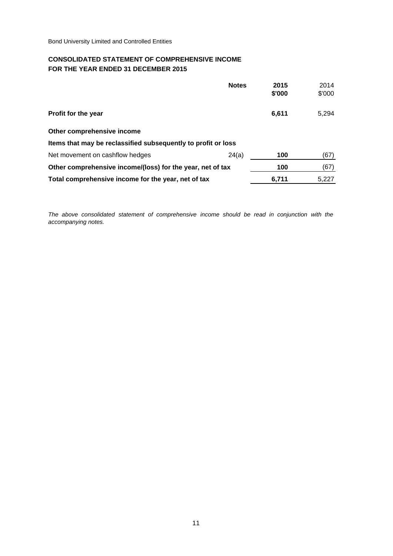## **CONSOLIDATED STATEMENT OF COMPREHENSIVE INCOME FOR THE YEAR ENDED 31 DECEMBER 2015**

|                                                               | <b>Notes</b> | 2015<br>\$'000 | 2014<br>\$'000 |
|---------------------------------------------------------------|--------------|----------------|----------------|
|                                                               |              |                |                |
| Profit for the year                                           |              | 6,611          | 5,294          |
| Other comprehensive income                                    |              |                |                |
| Items that may be reclassified subsequently to profit or loss |              |                |                |
| Net movement on cashflow hedges                               | 24(a)        | 100            | (67)           |
| Other comprehensive income/(loss) for the year, net of tax    |              | 100            | (67)           |
| Total comprehensive income for the year, net of tax           |              | 6,711          | 5,227          |

*The above consolidated statement of comprehensive income should be read in conjunction with the accompanying notes.*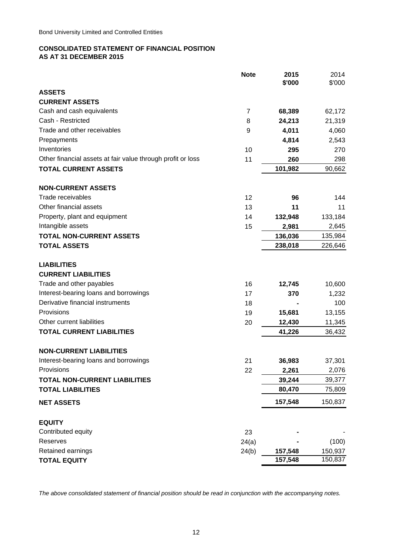### **CONSOLIDATED STATEMENT OF FINANCIAL POSITION AS AT 31 DECEMBER 2015**

|                                                             | <b>Note</b> | 2015<br>\$'000 | 2014<br>\$'000 |
|-------------------------------------------------------------|-------------|----------------|----------------|
| <b>ASSETS</b>                                               |             |                |                |
| <b>CURRENT ASSETS</b>                                       |             |                |                |
| Cash and cash equivalents                                   | 7           | 68,389         | 62,172         |
| Cash - Restricted                                           | 8           | 24,213         | 21,319         |
| Trade and other receivables                                 | 9           | 4,011          | 4,060          |
| Prepayments                                                 |             | 4,814          | 2,543          |
| Inventories                                                 | 10          | 295            | 270            |
| Other financial assets at fair value through profit or loss | 11          | 260            | 298            |
| <b>TOTAL CURRENT ASSETS</b>                                 |             | 101,982        | 90,662         |
| <b>NON-CURRENT ASSETS</b>                                   |             |                |                |
| Trade receivables                                           | 12          | 96             | 144            |
| Other financial assets                                      | 13          | 11             | 11             |
| Property, plant and equipment                               | 14          | 132,948        | 133,184        |
| Intangible assets                                           | 15          | 2,981          | 2,645          |
| <b>TOTAL NON-CURRENT ASSETS</b>                             |             | 136,036        | 135,984        |
| <b>TOTAL ASSETS</b>                                         |             | 238,018        | 226,646        |
| <b>LIABILITIES</b>                                          |             |                |                |
| <b>CURRENT LIABILITIES</b>                                  |             |                |                |
| Trade and other payables                                    | 16          | 12,745         | 10,600         |
| Interest-bearing loans and borrowings                       | 17          | 370            | 1,232          |
| Derivative financial instruments                            | 18          |                | 100            |
| Provisions                                                  | 19          | 15,681         | 13,155         |
| Other current liabilities                                   | 20          | 12,430         | 11,345         |
| <b>TOTAL CURRENT LIABILITIES</b>                            |             | 41,226         | 36,432         |
| <b>NON-CURRENT LIABILITIES</b>                              |             |                |                |
| Interest-bearing loans and borrowings                       | 21          | 36,983         | 37,301         |
| Provisions                                                  | 22          | 2,261          | 2,076          |
| <b>TOTAL NON-CURRENT LIABILITIES</b>                        |             | 39,244         | 39,377         |
| <b>TOTAL LIABILITIES</b>                                    |             | 80,470         | 75,809         |
| <b>NET ASSETS</b>                                           |             | 157,548        | 150,837        |
| <b>EQUITY</b>                                               |             |                |                |
| Contributed equity                                          | 23          |                |                |
| Reserves                                                    | 24(a)       |                | (100)          |
| Retained earnings                                           | 24(b)       | 157,548        | 150,937        |
| <b>TOTAL EQUITY</b>                                         |             | 157,548        | 150,837        |

*The above consolidated statement of financial position should be read in conjunction with the accompanying notes.*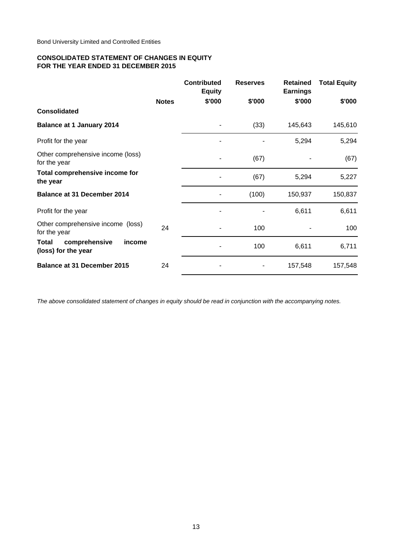### **CONSOLIDATED STATEMENT OF CHANGES IN EQUITY FOR THE YEAR ENDED 31 DECEMBER 2015**

|                                                         |              | <b>Contributed</b><br><b>Equity</b> | <b>Reserves</b> | <b>Retained</b><br><b>Earnings</b> | <b>Total Equity</b> |
|---------------------------------------------------------|--------------|-------------------------------------|-----------------|------------------------------------|---------------------|
|                                                         | <b>Notes</b> | \$'000                              | \$'000          | \$'000                             | \$'000              |
| <b>Consolidated</b>                                     |              |                                     |                 |                                    |                     |
| <b>Balance at 1 January 2014</b>                        |              |                                     | (33)            | 145,643                            | 145,610             |
| Profit for the year                                     |              |                                     |                 | 5,294                              | 5,294               |
| Other comprehensive income (loss)<br>for the year       |              |                                     | (67)            |                                    | (67)                |
| Total comprehensive income for<br>the year              |              |                                     | (67)            | 5,294                              | 5,227               |
| <b>Balance at 31 December 2014</b>                      |              |                                     | (100)           | 150,937                            | 150,837             |
| Profit for the year                                     |              |                                     |                 | 6,611                              | 6,611               |
| Other comprehensive income (loss)<br>for the year       | 24           |                                     | 100             |                                    | 100                 |
| comprehensive<br>Total<br>income<br>(loss) for the year |              |                                     | 100             | 6,611                              | 6,711               |
| <b>Balance at 31 December 2015</b>                      | 24           |                                     |                 | 157,548                            | 157,548             |

*The above consolidated statement of changes in equity should be read in conjunction with the accompanying notes.*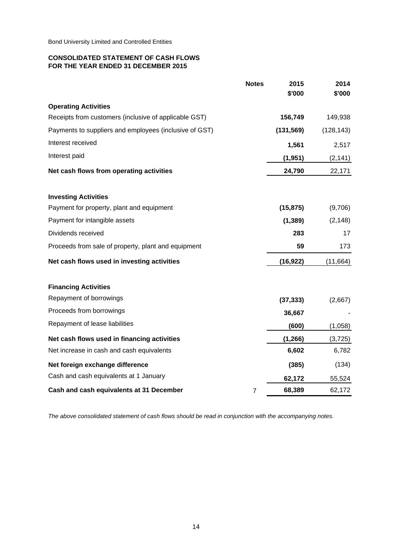### **CONSOLIDATED STATEMENT OF CASH FLOWS FOR THE YEAR ENDED 31 DECEMBER 2015**

|                                                        | <b>Notes</b> | 2015<br>\$'000 | 2014<br>\$'000 |
|--------------------------------------------------------|--------------|----------------|----------------|
| <b>Operating Activities</b>                            |              |                |                |
| Receipts from customers (inclusive of applicable GST)  |              | 156,749        | 149,938        |
| Payments to suppliers and employees (inclusive of GST) |              | (131, 569)     | (128, 143)     |
| Interest received                                      |              | 1,561          | 2,517          |
| Interest paid                                          |              | (1, 951)       | (2, 141)       |
|                                                        |              |                |                |
| Net cash flows from operating activities               |              | 24,790         | 22,171         |
| <b>Investing Activities</b>                            |              |                |                |
| Payment for property, plant and equipment              |              | (15, 875)      | (9,706)        |
| Payment for intangible assets                          |              | (1, 389)       | (2, 148)       |
| Dividends received                                     |              | 283            | 17             |
| Proceeds from sale of property, plant and equipment    |              | 59             | 173            |
| Net cash flows used in investing activities            |              | (16, 922)      | (11, 664)      |
| <b>Financing Activities</b>                            |              |                |                |
| Repayment of borrowings                                |              | (37, 333)      | (2,667)        |
| Proceeds from borrowings                               |              | 36,667         |                |
| Repayment of lease liabilities                         |              | (600)          | (1,058)        |
| Net cash flows used in financing activities            |              | (1, 266)       | (3,725)        |
| Net increase in cash and cash equivalents              |              | 6,602          | 6,782          |
| Net foreign exchange difference                        |              | (385)          | (134)          |
| Cash and cash equivalents at 1 January                 |              | 62,172         | 55,524         |
| Cash and cash equivalents at 31 December               | 7            | 68,389         | 62,172         |

*The above consolidated statement of cash flows should be read in conjunction with the accompanying notes.*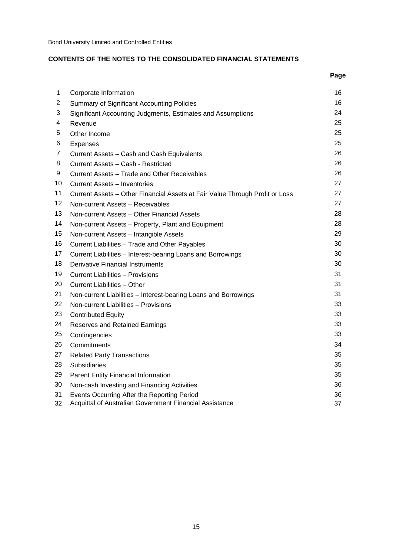# **CONTENTS OF THE NOTES TO THE CONSOLIDATED FINANCIAL STATEMENTS**

|    |                                                                              | Page |
|----|------------------------------------------------------------------------------|------|
| 1  | Corporate Information                                                        | 16   |
| 2  | <b>Summary of Significant Accounting Policies</b>                            | 16   |
| 3  | Significant Accounting Judgments, Estimates and Assumptions                  | 24   |
| 4  | Revenue                                                                      | 25   |
| 5  | Other Income                                                                 | 25   |
| 6  | Expenses                                                                     | 25   |
| 7  | Current Assets - Cash and Cash Equivalents                                   | 26   |
| 8  | Current Assets - Cash - Restricted                                           | 26   |
| 9  | Current Assets – Trade and Other Receivables                                 | 26   |
| 10 | <b>Current Assets - Inventories</b>                                          | 27   |
| 11 | Current Assets - Other Financial Assets at Fair Value Through Profit or Loss | 27   |
| 12 | Non-current Assets - Receivables                                             | 27   |
| 13 | Non-current Assets - Other Financial Assets                                  | 28   |
| 14 | Non-current Assets - Property, Plant and Equipment                           | 28   |
| 15 | Non-current Assets - Intangible Assets                                       | 29   |
| 16 | Current Liabilities - Trade and Other Payables                               | 30   |
| 17 | Current Liabilities - Interest-bearing Loans and Borrowings                  | 30   |
| 18 | <b>Derivative Financial Instruments</b>                                      | 30   |
| 19 | Current Liabilities - Provisions                                             | 31   |
| 20 | Current Liabilities - Other                                                  | 31   |
| 21 | Non-current Liabilities - Interest-bearing Loans and Borrowings              | 31   |
| 22 | Non-current Liabilities - Provisions                                         | 33   |
| 23 | <b>Contributed Equity</b>                                                    | 33   |
| 24 | Reserves and Retained Earnings                                               | 33   |
| 25 | Contingencies                                                                | 33   |
| 26 | Commitments                                                                  | 34   |
| 27 | <b>Related Party Transactions</b>                                            | 35   |
| 28 | <b>Subsidiaries</b>                                                          | 35   |
| 29 | Parent Entity Financial Information                                          | 35   |
| 30 | Non-cash Investing and Financing Activities                                  | 36   |
| 31 | Events Occurring After the Reporting Period                                  | 36   |
| 32 | Acquittal of Australian Government Financial Assistance                      | 37   |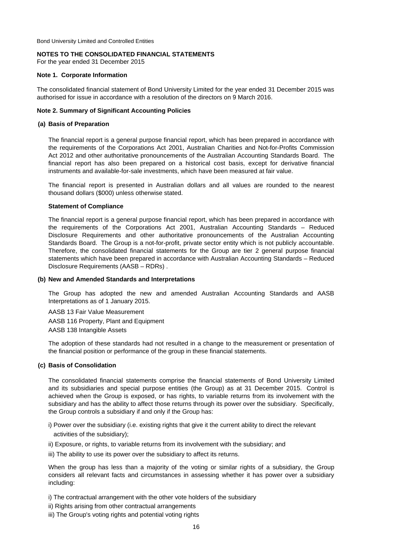### **NOTES TO THE CONSOLIDATED FINANCIAL STATEMENTS**

For the year ended 31 December 2015

### **Note 1. Corporate Information**

The consolidated financial statement of Bond University Limited for the year ended 31 December 2015 was authorised for issue in accordance with a resolution of the directors on 9 March 2016.

### **Note 2. Summary of Significant Accounting Policies**

### **(a) Basis of Preparation**

The financial report is a general purpose financial report, which has been prepared in accordance with the requirements of the Corporations Act 2001, Australian Charities and Not-for-Profits Commission Act 2012 and other authoritative pronouncements of the Australian Accounting Standards Board. The financial report has also been prepared on a historical cost basis, except for derivative financial instruments and available-for-sale investments, which have been measured at fair value.

The financial report is presented in Australian dollars and all values are rounded to the nearest thousand dollars (\$000) unless otherwise stated.

### **Statement of Compliance**

The financial report is a general purpose financial report, which has been prepared in accordance with the requirements of the Corporations Act 2001, Australian Accounting Standards – Reduced Disclosure Requirements and other authoritative pronouncements of the Australian Accounting Standards Board. The Group is a not-for-profit, private sector entity which is not publicly accountable. Therefore, the consolidated financial statements for the Group are tier 2 general purpose financial statements which have been prepared in accordance with Australian Accounting Standards – Reduced Disclosure Requirements (AASB – RDRs) .

#### **(b) New and Amended Standards and Interpretations**

The Group has adopted the new and amended Australian Accounting Standards and AASB Interpretations as of 1 January 2015.

AASB 13 Fair Value Measurement AASB 116 Property, Plant and Equipment AASB 138 Intangible Assets

The adoption of these standards had not resulted in a change to the measurement or presentation of the financial position or performance of the group in these financial statements.

#### **(c) Basis of Consolidation**

The consolidated financial statements comprise the financial statements of Bond University Limited and its subsidiaries and special purpose entities (the Group) as at 31 December 2015. Control is achieved when the Group is exposed, or has rights, to variable returns from its involvement with the subsidiary and has the ability to affect those returns through its power over the subsidiary. Specifically, the Group controls a subsidiary if and only if the Group has:

i) Power over the subsidiary (i.e. existing rights that give it the current ability to direct the relevant

activities of the subsidiary);

- ii) Exposure, or rights, to variable returns from its involvement with the subsidiary; and
- iii) The ability to use its power over the subsidiary to affect its returns.

When the group has less than a majority of the voting or similar rights of a subsidiary, the Group considers all relevant facts and circumstances in assessing whether it has power over a subsidiary including:

i) The contractual arrangement with the other vote holders of the subsidiary

ii) Rights arising from other contractual arrangements

iii) The Group's voting rights and potential voting rights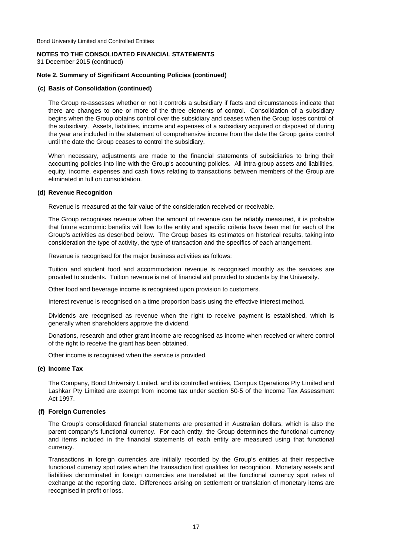### **NOTES TO THE CONSOLIDATED FINANCIAL STATEMENTS**

31 December 2015 (continued)

### **Note 2. Summary of Significant Accounting Policies (continued)**

#### **(c) Basis of Consolidation (continued)**

The Group re-assesses whether or not it controls a subsidiary if facts and circumstances indicate that there are changes to one or more of the three elements of control. Consolidation of a subsidiary begins when the Group obtains control over the subsidiary and ceases when the Group loses control of the subsidiary. Assets, liabilities, income and expenses of a subsidiary acquired or disposed of during the year are included in the statement of comprehensive income from the date the Group gains control until the date the Group ceases to control the subsidiary.

When necessary, adjustments are made to the financial statements of subsidiaries to bring their accounting policies into line with the Group's accounting policies. All intra-group assets and liabilities, equity, income, expenses and cash flows relating to transactions between members of the Group are eliminated in full on consolidation.

### **(d) Revenue Recognition**

Revenue is measured at the fair value of the consideration received or receivable.

The Group recognises revenue when the amount of revenue can be reliably measured, it is probable that future economic benefits will flow to the entity and specific criteria have been met for each of the Group's activities as described below. The Group bases its estimates on historical results, taking into consideration the type of activity, the type of transaction and the specifics of each arrangement.

Revenue is recognised for the major business activities as follows:

Tuition and student food and accommodation revenue is recognised monthly as the services are provided to students. Tuition revenue is net of financial aid provided to students by the University.

Other food and beverage income is recognised upon provision to customers.

Interest revenue is recognised on a time proportion basis using the effective interest method.

Dividends are recognised as revenue when the right to receive payment is established, which is generally when shareholders approve the dividend.

Donations, research and other grant income are recognised as income when received or where control of the right to receive the grant has been obtained.

Other income is recognised when the service is provided.

#### **(e) Income Tax**

The Company, Bond University Limited, and its controlled entities, Campus Operations Pty Limited and Lashkar Pty Limited are exempt from income tax under section 50-5 of the Income Tax Assessment Act 1997.

### **(f) Foreign Currencies**

The Group's consolidated financial statements are presented in Australian dollars, which is also the parent company's functional currency. For each entity, the Group determines the functional currency and items included in the financial statements of each entity are measured using that functional currency.

Transactions in foreign currencies are initially recorded by the Group's entities at their respective functional currency spot rates when the transaction first qualifies for recognition. Monetary assets and liabilities denominated in foreign currencies are translated at the functional currency spot rates of exchange at the reporting date. Differences arising on settlement or translation of monetary items are recognised in profit or loss.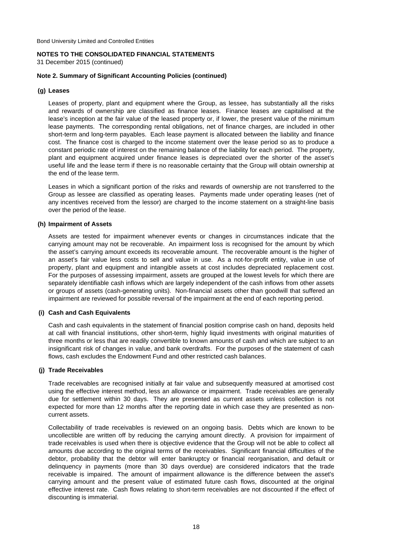31 December 2015 (continued)

### **Note 2. Summary of Significant Accounting Policies (continued)**

### **(g) Leases**

Leases of property, plant and equipment where the Group, as lessee, has substantially all the risks and rewards of ownership are classified as finance leases. Finance leases are capitalised at the lease's inception at the fair value of the leased property or, if lower, the present value of the minimum lease payments. The corresponding rental obligations, net of finance charges, are included in other short-term and long-term payables. Each lease payment is allocated between the liability and finance cost. The finance cost is charged to the income statement over the lease period so as to produce a constant periodic rate of interest on the remaining balance of the liability for each period. The property, plant and equipment acquired under finance leases is depreciated over the shorter of the asset's useful life and the lease term if there is no reasonable certainty that the Group will obtain ownership at the end of the lease term.

Leases in which a significant portion of the risks and rewards of ownership are not transferred to the Group as lessee are classified as operating leases. Payments made under operating leases (net of any incentives received from the lessor) are charged to the income statement on a straight-line basis over the period of the lease.

### **(h) Impairment of Assets**

Assets are tested for impairment whenever events or changes in circumstances indicate that the carrying amount may not be recoverable. An impairment loss is recognised for the amount by which the asset's carrying amount exceeds its recoverable amount. The recoverable amount is the higher of an asset's fair value less costs to sell and value in use. As a not-for-profit entity, value in use of property, plant and equipment and intangible assets at cost includes depreciated replacement cost. For the purposes of assessing impairment, assets are grouped at the lowest levels for which there are separately identifiable cash inflows which are largely independent of the cash inflows from other assets or groups of assets (cash-generating units). Non-financial assets other than goodwill that suffered an impairment are reviewed for possible reversal of the impairment at the end of each reporting period.

#### **(i) Cash and Cash Equivalents**

Cash and cash equivalents in the statement of financial position comprise cash on hand, deposits held at call with financial institutions, other short-term, highly liquid investments with original maturities of three months or less that are readily convertible to known amounts of cash and which are subject to an insignificant risk of changes in value, and bank overdrafts. For the purposes of the statement of cash flows, cash excludes the Endowment Fund and other restricted cash balances.

#### **(j) Trade Receivables**

Trade receivables are recognised initially at fair value and subsequently measured at amortised cost using the effective interest method, less an allowance or impairment. Trade receivables are generally due for settlement within 30 days. They are presented as current assets unless collection is not expected for more than 12 months after the reporting date in which case they are presented as noncurrent assets.

Collectability of trade receivables is reviewed on an ongoing basis. Debts which are known to be uncollectible are written off by reducing the carrying amount directly. A provision for impairment of trade receivables is used when there is objective evidence that the Group will not be able to collect all amounts due according to the original terms of the receivables. Significant financial difficulties of the debtor, probability that the debtor will enter bankruptcy or financial reorganisation, and default or delinquency in payments (more than 30 days overdue) are considered indicators that the trade receivable is impaired. The amount of impairment allowance is the difference between the asset's carrying amount and the present value of estimated future cash flows, discounted at the original effective interest rate. Cash flows relating to short-term receivables are not discounted if the effect of discounting is immaterial.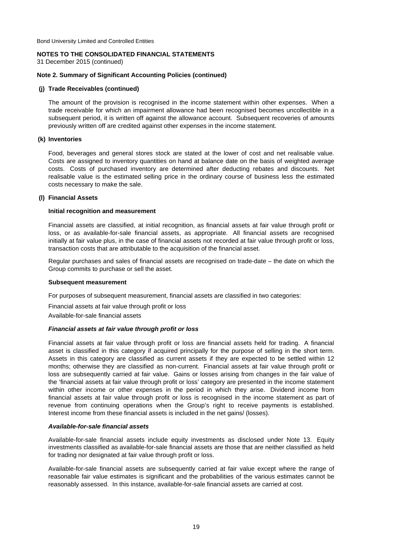### **NOTES TO THE CONSOLIDATED FINANCIAL STATEMENTS**

31 December 2015 (continued)

### **Note 2. Summary of Significant Accounting Policies (continued)**

### **(j) Trade Receivables (continued)**

The amount of the provision is recognised in the income statement within other expenses. When a trade receivable for which an impairment allowance had been recognised becomes uncollectible in a subsequent period, it is written off against the allowance account. Subsequent recoveries of amounts previously written off are credited against other expenses in the income statement.

### **(k) Inventories**

Food, beverages and general stores stock are stated at the lower of cost and net realisable value. Costs are assigned to inventory quantities on hand at balance date on the basis of weighted average costs. Costs of purchased inventory are determined after deducting rebates and discounts. Net realisable value is the estimated selling price in the ordinary course of business less the estimated costs necessary to make the sale.

### **(l) Financial Assets**

### **Initial recognition and measurement**

Financial assets are classified, at initial recognition, as financial assets at fair value through profit or loss, or as available-for-sale financial assets, as appropriate. All financial assets are recognised initially at fair value plus, in the case of financial assets not recorded at fair value through profit or loss, transaction costs that are attributable to the acquisition of the financial asset.

Regular purchases and sales of financial assets are recognised on trade-date – the date on which the Group commits to purchase or sell the asset.

#### **Subsequent measurement**

For purposes of subsequent measurement, financial assets are classified in two categories:

Financial assets at fair value through profit or loss

Available-for-sale financial assets

### *Financial assets at fair value through profit or loss*

Financial assets at fair value through profit or loss are financial assets held for trading. A financial asset is classified in this category if acquired principally for the purpose of selling in the short term. Assets in this category are classified as current assets if they are expected to be settled within 12 months; otherwise they are classified as non-current. Financial assets at fair value through profit or loss are subsequently carried at fair value. Gains or losses arising from changes in the fair value of the 'financial assets at fair value through profit or loss' category are presented in the income statement within other income or other expenses in the period in which they arise. Dividend income from financial assets at fair value through profit or loss is recognised in the income statement as part of revenue from continuing operations when the Group's right to receive payments is established. Interest income from these financial assets is included in the net gains/ (losses).

#### *Available-for-sale financial assets*

Available-for-sale financial assets include equity investments as disclosed under Note 13. Equity investments classified as available-for-sale financial assets are those that are neither classified as held for trading nor designated at fair value through profit or loss.

Available-for-sale financial assets are subsequently carried at fair value except where the range of reasonable fair value estimates is significant and the probabilities of the various estimates cannot be reasonably assessed. In this instance, available-for-sale financial assets are carried at cost.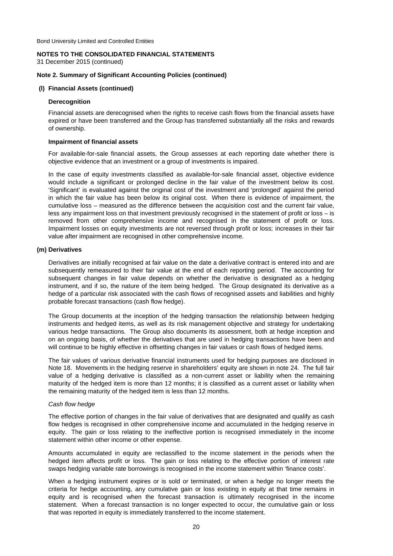31 December 2015 (continued)

### **Note 2. Summary of Significant Accounting Policies (continued)**

#### **(l) Financial Assets (continued)**

### **Derecognition**

Financial assets are derecognised when the rights to receive cash flows from the financial assets have expired or have been transferred and the Group has transferred substantially all the risks and rewards of ownership.

#### **Impairment of financial assets**

For available-for-sale financial assets, the Group assesses at each reporting date whether there is objective evidence that an investment or a group of investments is impaired.

In the case of equity investments classified as available-for-sale financial asset, objective evidence would include a significant or prolonged decline in the fair value of the investment below its cost. 'Significant' is evaluated against the original cost of the investment and 'prolonged' against the period in which the fair value has been below its original cost. When there is evidence of impairment, the cumulative loss – measured as the difference between the acquisition cost and the current fair value, less any impairment loss on that investment previously recognised in the statement of profit or loss – is removed from other comprehensive income and recognised in the statement of profit or loss. Impairment losses on equity investments are not reversed through profit or loss; increases in their fair value after impairment are recognised in other comprehensive income.

### **(m) Derivatives**

Derivatives are initially recognised at fair value on the date a derivative contract is entered into and are subsequently remeasured to their fair value at the end of each reporting period. The accounting for subsequent changes in fair value depends on whether the derivative is designated as a hedging instrument, and if so, the nature of the item being hedged. The Group designated its derivative as a hedge of a particular risk associated with the cash flows of recognised assets and liabilities and highly probable forecast transactions (cash flow hedge).

The Group documents at the inception of the hedging transaction the relationship between hedging instruments and hedged items, as well as its risk management objective and strategy for undertaking various hedge transactions. The Group also documents its assessment, both at hedge inception and on an ongoing basis, of whether the derivatives that are used in hedging transactions have been and will continue to be highly effective in offsetting changes in fair values or cash flows of hedged items.

The fair values of various derivative financial instruments used for hedging purposes are disclosed in Note 18. Movements in the hedging reserve in shareholders' equity are shown in note 24. The full fair value of a hedging derivative is classified as a non-current asset or liability when the remaining maturity of the hedged item is more than 12 months; it is classified as a current asset or liability when the remaining maturity of the hedged item is less than 12 months.

#### *Cash flow hedge*

The effective portion of changes in the fair value of derivatives that are designated and qualify as cash flow hedges is recognised in other comprehensive income and accumulated in the hedging reserve in equity. The gain or loss relating to the ineffective portion is recognised immediately in the income statement within other income or other expense.

Amounts accumulated in equity are reclassified to the income statement in the periods when the hedged item affects profit or loss. The gain or loss relating to the effective portion of interest rate swaps hedging variable rate borrowings is recognised in the income statement within 'finance costs'.

When a hedging instrument expires or is sold or terminated, or when a hedge no longer meets the criteria for hedge accounting, any cumulative gain or loss existing in equity at that time remains in equity and is recognised when the forecast transaction is ultimately recognised in the income statement. When a forecast transaction is no longer expected to occur, the cumulative gain or loss that was reported in equity is immediately transferred to the income statement.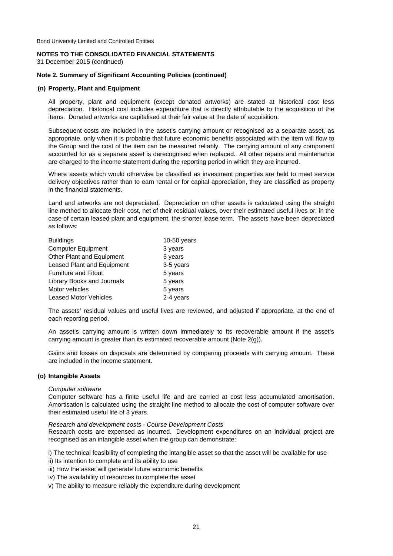# **NOTES TO THE CONSOLIDATED FINANCIAL STATEMENTS**

31 December 2015 (continued)

### **Note 2. Summary of Significant Accounting Policies (continued)**

### **(n) Property, Plant and Equipment**

All property, plant and equipment (except donated artworks) are stated at historical cost less depreciation. Historical cost includes expenditure that is directly attributable to the acquisition of the items. Donated artworks are capitalised at their fair value at the date of acquisition.

Subsequent costs are included in the asset's carrying amount or recognised as a separate asset, as appropriate, only when it is probable that future economic benefits associated with the item will flow to the Group and the cost of the item can be measured reliably. The carrying amount of any component accounted for as a separate asset is derecognised when replaced. All other repairs and maintenance are charged to the income statement during the reporting period in which they are incurred.

Where assets which would otherwise be classified as investment properties are held to meet service delivery objectives rather than to earn rental or for capital appreciation, they are classified as property in the financial statements.

Land and artworks are not depreciated. Depreciation on other assets is calculated using the straight line method to allocate their cost, net of their residual values, over their estimated useful lives or, in the case of certain leased plant and equipment, the shorter lease term. The assets have been depreciated as follows:

| <b>Buildings</b>                  | $10-50$ years |
|-----------------------------------|---------------|
| <b>Computer Equipment</b>         | 3 years       |
| Other Plant and Equipment         | 5 years       |
| <b>Leased Plant and Equipment</b> | 3-5 years     |
| <b>Furniture and Fitout</b>       | 5 years       |
| Library Books and Journals        | 5 years       |
| Motor vehicles                    | 5 years       |
| <b>Leased Motor Vehicles</b>      | 2-4 years     |

The assets' residual values and useful lives are reviewed, and adjusted if appropriate, at the end of each reporting period.

An asset's carrying amount is written down immediately to its recoverable amount if the asset's carrying amount is greater than its estimated recoverable amount (Note 2(g)).

Gains and losses on disposals are determined by comparing proceeds with carrying amount. These are included in the income statement.

#### **(o) Intangible Assets**

*Computer software*

Computer software has a finite useful life and are carried at cost less accumulated amortisation. Amortisation is calculated using the straight line method to allocate the cost of computer software over their estimated useful life of 3 years.

*Research and development costs - Course Development Costs* Research costs are expensed as incurred. Development expenditures on an individual project are recognised as an intangible asset when the group can demonstrate:

i) The technical feasibility of completing the intangible asset so that the asset will be available for use ii) Its intention to complete and its ability to use

- iii) How the asset will generate future economic benefits
- iv) The availability of resources to complete the asset
- v) The ability to measure reliably the expenditure during development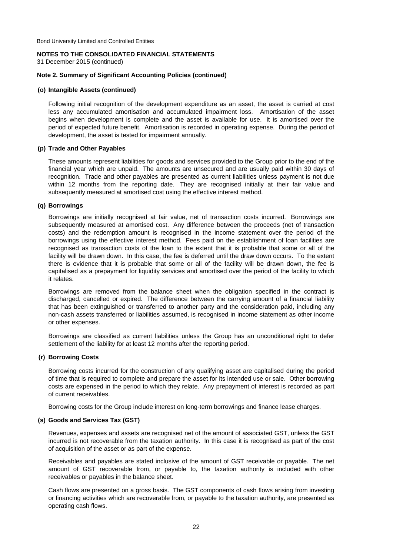31 December 2015 (continued)

### **Note 2. Summary of Significant Accounting Policies (continued)**

### **(o) Intangible Assets (continued)**

Following initial recognition of the development expenditure as an asset, the asset is carried at cost less any accumulated amortisation and accumulated impairment loss. Amortisation of the asset begins when development is complete and the asset is available for use. It is amortised over the period of expected future benefit. Amortisation is recorded in operating expense. During the period of development, the asset is tested for impairment annually.

### **(p) Trade and Other Payables**

These amounts represent liabilities for goods and services provided to the Group prior to the end of the financial year which are unpaid. The amounts are unsecured and are usually paid within 30 days of recognition. Trade and other payables are presented as current liabilities unless payment is not due within 12 months from the reporting date. They are recognised initially at their fair value and subsequently measured at amortised cost using the effective interest method.

### **(q) Borrowings**

Borrowings are initially recognised at fair value, net of transaction costs incurred. Borrowings are subsequently measured at amortised cost. Any difference between the proceeds (net of transaction costs) and the redemption amount is recognised in the income statement over the period of the borrowings using the effective interest method. Fees paid on the establishment of loan facilities are recognised as transaction costs of the loan to the extent that it is probable that some or all of the facility will be drawn down. In this case, the fee is deferred until the draw down occurs. To the extent there is evidence that it is probable that some or all of the facility will be drawn down, the fee is capitalised as a prepayment for liquidity services and amortised over the period of the facility to which it relates.

Borrowings are removed from the balance sheet when the obligation specified in the contract is discharged, cancelled or expired. The difference between the carrying amount of a financial liability that has been extinguished or transferred to another party and the consideration paid, including any non-cash assets transferred or liabilities assumed, is recognised in income statement as other income or other expenses.

Borrowings are classified as current liabilities unless the Group has an unconditional right to defer settlement of the liability for at least 12 months after the reporting period.

### **(r) Borrowing Costs**

Borrowing costs incurred for the construction of any qualifying asset are capitalised during the period of time that is required to complete and prepare the asset for its intended use or sale. Other borrowing costs are expensed in the period to which they relate. Any prepayment of interest is recorded as part of current receivables.

Borrowing costs for the Group include interest on long-term borrowings and finance lease charges.

#### **(s) Goods and Services Tax (GST)**

Revenues, expenses and assets are recognised net of the amount of associated GST, unless the GST incurred is not recoverable from the taxation authority. In this case it is recognised as part of the cost of acquisition of the asset or as part of the expense.

Receivables and payables are stated inclusive of the amount of GST receivable or payable. The net amount of GST recoverable from, or payable to, the taxation authority is included with other receivables or payables in the balance sheet.

Cash flows are presented on a gross basis. The GST components of cash flows arising from investing or financing activities which are recoverable from, or payable to the taxation authority, are presented as operating cash flows.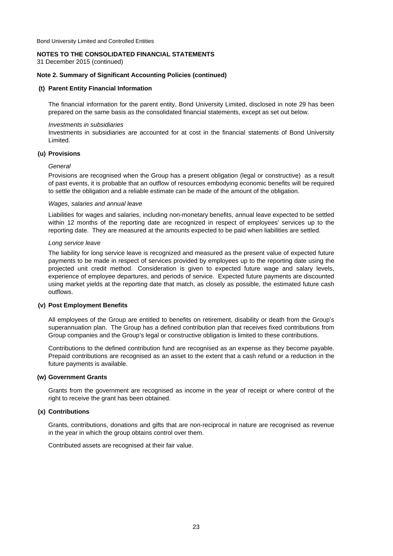### **NOTES TO THE CONSOLIDATED FINANCIAL STATEMENTS**

31 December 2015 (continued)

### **Note 2. Summary of Significant Accounting Policies (continued)**

#### **(t) Parent Entity Financial Information**

The financial information for the parent entity, Bond University Limited, disclosed in note 29 has been prepared on the same basis as the consolidated financial statements, except as set out below.

#### *Investments in subsidiaries*

Investments in subsidiaries are accounted for at cost in the financial statements of Bond University Limited.

### **(u) Provisions**

### *General*

Provisions are recognised when the Group has a present obligation (legal or constructive) as a result of past events, it is probable that an outflow of resources embodying economic benefits will be required to settle the obligation and a reliable estimate can be made of the amount of the obligation.

### *Wages, salaries and annual leave*

Liabilities for wages and salaries, including non-monetary benefits, annual leave expected to be settled within 12 months of the reporting date are recognized in respect of employees' services up to the reporting date. They are measured at the amounts expected to be paid when liabilities are settled.

### *Long service leave*

The liability for long service leave is recognized and measured as the present value of expected future payments to be made in respect of services provided by employees up to the reporting date using the projected unit credit method. Consideration is given to expected future wage and salary levels, experience of employee departures, and periods of service. Expected future payments are discounted using market yields at the reporting date that match, as closely as possible, the estimated future cash outflows.

### **(v) Post Employment Benefits**

All employees of the Group are entitled to benefits on retirement, disability or death from the Group's superannuation plan. The Group has a defined contribution plan that receives fixed contributions from Group companies and the Group's legal or constructive obligation is limited to these contributions.

Contributions to the defined contribution fund are recognised as an expense as they become payable. Prepaid contributions are recognised as an asset to the extent that a cash refund or a reduction in the future payments is available.

#### **(w) Government Grants**

Grants from the government are recognised as income in the year of receipt or where control of the right to receive the grant has been obtained.

### **(x) Contributions**

Grants, contributions, donations and gifts that are non-reciprocal in nature are recognised as revenue in the year in which the group obtains control over them.

Contributed assets are recognised at their fair value.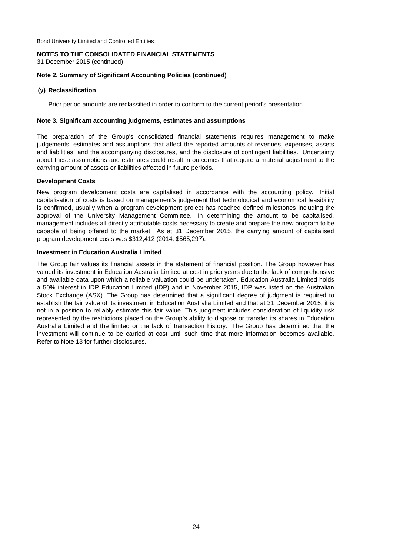# **NOTES TO THE CONSOLIDATED FINANCIAL STATEMENTS**

31 December 2015 (continued)

### **Note 2. Summary of Significant Accounting Policies (continued)**

### **(y) Reclassification**

Prior period amounts are reclassified in order to conform to the current period's presentation.

### **Note 3. Significant accounting judgments, estimates and assumptions**

The preparation of the Group's consolidated financial statements requires management to make judgements, estimates and assumptions that affect the reported amounts of revenues, expenses, assets and liabilities, and the accompanying disclosures, and the disclosure of contingent liabilities. Uncertainty about these assumptions and estimates could result in outcomes that require a material adjustment to the carrying amount of assets or liabilities affected in future periods.

### **Development Costs**

New program development costs are capitalised in accordance with the accounting policy. Initial capitalisation of costs is based on management's judgement that technological and economical feasibility is confirmed, usually when a program development project has reached defined milestones including the approval of the University Management Committee. In determining the amount to be capitalised, management includes all directly attributable costs necessary to create and prepare the new program to be capable of being offered to the market. As at 31 December 2015, the carrying amount of capitalised program development costs was \$312,412 (2014: \$565,297).

### **Investment in Education Australia Limited**

The Group fair values its financial assets in the statement of financial position. The Group however has valued its investment in Education Australia Limited at cost in prior years due to the lack of comprehensive and available data upon which a reliable valuation could be undertaken. Education Australia Limited holds a 50% interest in IDP Education Limited (IDP) and in November 2015, IDP was listed on the Australian Stock Exchange (ASX). The Group has determined that a significant degree of judgment is required to establish the fair value of its investment in Education Australia Limited and that at 31 December 2015, it is not in a position to reliably estimate this fair value. This judgment includes consideration of liquidity risk represented by the restrictions placed on the Group's ability to dispose or transfer its shares in Education Australia Limited and the limited or the lack of transaction history. The Group has determined that the investment will continue to be carried at cost until such time that more information becomes available. Refer to Note 13 for further disclosures.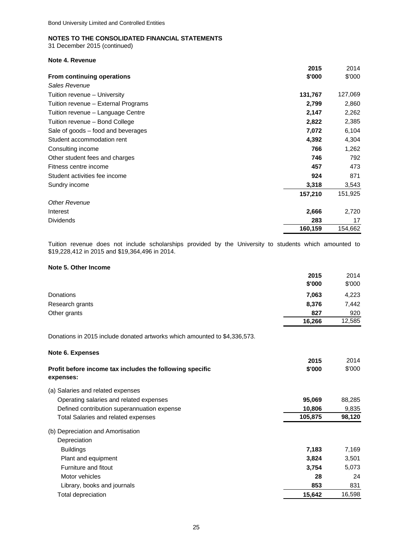31 December 2015 (continued)

### **Note 4. Revenue**

|                                     | 2015    | 2014    |
|-------------------------------------|---------|---------|
| From continuing operations          | \$'000  | \$'000  |
| Sales Revenue                       |         |         |
| Tuition revenue – University        | 131,767 | 127,069 |
| Tuition revenue – External Programs | 2,799   | 2,860   |
| Tuition revenue – Language Centre   | 2,147   | 2,262   |
| Tuition revenue - Bond College      | 2,822   | 2,385   |
| Sale of goods – food and beverages  | 7,072   | 6,104   |
| Student accommodation rent          | 4,392   | 4,304   |
| Consulting income                   | 766     | 1,262   |
| Other student fees and charges      | 746     | 792     |
| Fitness centre income               | 457     | 473     |
| Student activities fee income       | 924     | 871     |
| Sundry income                       | 3,318   | 3,543   |
|                                     | 157,210 | 151,925 |
| <b>Other Revenue</b>                |         |         |
| Interest                            | 2,666   | 2,720   |
| <b>Dividends</b>                    | 283     | 17      |
|                                     | 160,159 | 154,662 |

Tuition revenue does not include scholarships provided by the University to students which amounted to \$19,228,412 in 2015 and \$19,364,496 in 2014.

### **Note 5. Other Income**

**Note 6. Expenses**

|                 | 2015   | 2014   |
|-----------------|--------|--------|
|                 | \$'000 | \$'000 |
| Donations       | 7,063  | 4,223  |
| Research grants | 8,376  | 7,442  |
| Other grants    | 827    | 920    |
|                 | 16,266 | 12,585 |

Donations in 2015 include donated artworks which amounted to \$4,336,573.

|                                                                       | 2015    | 2014   |
|-----------------------------------------------------------------------|---------|--------|
| Profit before income tax includes the following specific<br>expenses: | \$'000  | \$'000 |
| (a) Salaries and related expenses                                     |         |        |
| Operating salaries and related expenses                               | 95,069  | 88,285 |
| Defined contribution superannuation expense                           | 10,806  | 9,835  |
| <b>Total Salaries and related expenses</b>                            | 105,875 | 98,120 |
| (b) Depreciation and Amortisation                                     |         |        |
| Depreciation                                                          |         |        |
| <b>Buildings</b>                                                      | 7,183   | 7,169  |
| Plant and equipment                                                   | 3,824   | 3,501  |
| Furniture and fitout                                                  | 3,754   | 5,073  |
| Motor vehicles                                                        | 28      | 24     |
| Library, books and journals                                           | 853     | 831    |
| Total depreciation                                                    | 15,642  | 16,598 |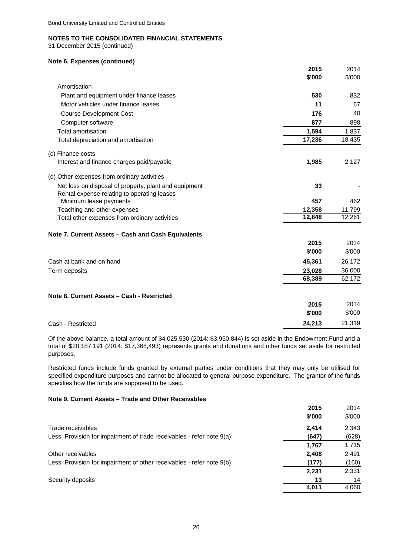31 December 2015 (continued)

### **Note 6. Expenses (continued)**

|                                                                                                      | 2015   | 2014   |
|------------------------------------------------------------------------------------------------------|--------|--------|
|                                                                                                      | \$'000 | \$'000 |
| Amortisation                                                                                         |        |        |
| Plant and equipment under finance leases                                                             | 530    | 832    |
| Motor vehicles under finance leases                                                                  | 11     | 67     |
| <b>Course Development Cost</b>                                                                       | 176    | 40     |
| Computer software                                                                                    | 877    | 898    |
| <b>Total amortisation</b>                                                                            | 1,594  | 1,837  |
| Total depreciation and amortisation                                                                  | 17,236 | 18,435 |
| (c) Finance costs                                                                                    |        |        |
| Interest and finance charges paid/payable                                                            | 1,985  | 2,127  |
| (d) Other expenses from ordinary activities                                                          |        |        |
| Net loss on disposal of property, plant and equipment<br>Rental expense relating to operating leases | 33     |        |
| Minimum lease payments                                                                               | 457    | 462    |
| Teaching and other expenses                                                                          | 12,358 | 11,799 |
| Total other expenses from ordinary activities                                                        | 12,848 | 12,261 |
| Note 7. Current Assets - Cash and Cash Equivalents                                                   |        |        |
|                                                                                                      | 2015   | 2014   |
|                                                                                                      | \$'000 | \$'000 |
| Cash at bank and on hand                                                                             | 45,361 | 26,172 |
| Term deposits                                                                                        | 23,028 | 36,000 |
|                                                                                                      | 68,389 | 62,172 |
| Note 8. Current Assets - Cash - Restricted                                                           |        |        |
|                                                                                                      | 2015   | 2014   |
|                                                                                                      | \$'000 | \$'000 |
| Cash - Restricted                                                                                    | 24.213 | 21,319 |

Of the above balance, a total amount of \$4,025,530 (2014: \$3,950,844) is set aside in the Endowment Fund and a total of \$20,187,191 (2014: \$17,368,493) represents grants and donations and other funds set aside for restricted purposes.

Restricted funds include funds granted by external parties under conditions that they may only be utilised for specified expenditure purposes and cannot be allocated to general purpose expenditure. The grantor of the funds specifies how the funds are supposed to be used.

### **Note 9. Current Assets – Trade and Other Receivables**

|                                                                       | 2015   | 2014   |
|-----------------------------------------------------------------------|--------|--------|
|                                                                       | \$'000 | \$'000 |
| Trade receivables                                                     | 2.414  | 2,343  |
| Less: Provision for impairment of trade receivables - refer note 9(a) | (647)  | (628)  |
|                                                                       | 1.767  | 1,715  |
| Other receivables                                                     | 2,408  | 2,491  |
| Less: Provision for impairment of other receivables - refer note 9(b) | (177)  | (160)  |
|                                                                       | 2,231  | 2,331  |
| Security deposits                                                     | 13     | 14     |
|                                                                       | 4.011  | 4,060  |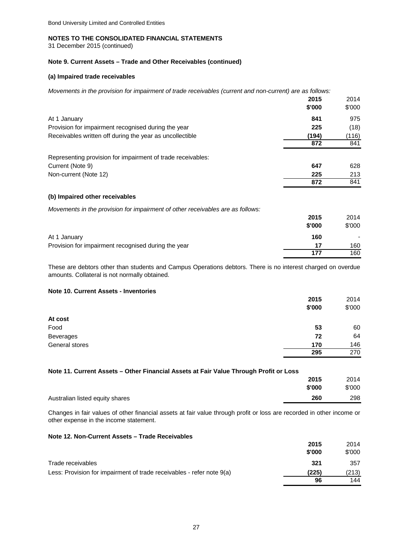31 December 2015 (continued)

### **Note 9. Current Assets – Trade and Other Receivables (continued)**

### **(a) Impaired trade receivables**

*Movements in the provision for impairment of trade receivables (current and non-current) are as follows:*

|                                                                                | 2015   | 2014   |
|--------------------------------------------------------------------------------|--------|--------|
|                                                                                | \$'000 | \$'000 |
| At 1 January                                                                   | 841    | 975    |
| Provision for impairment recognised during the year                            | 225    | (18)   |
| Receivables written off during the year as uncollectible                       | (194)  | (116)  |
|                                                                                | 872    | 841    |
| Representing provision for impairment of trade receivables:                    |        |        |
| Current (Note 9)                                                               | 647    | 628    |
| Non-current (Note 12)                                                          | 225    | 213    |
|                                                                                | 872    | 841    |
| (b) Impaired other receivables                                                 |        |        |
| Movements in the provision for impairment of other receivables are as follows: |        |        |
|                                                                                | 2015   | 2014   |
|                                                                                | \$'000 | \$'000 |
| At 1 January                                                                   | 160    |        |
| Provision for impairment recognised during the year                            | 17     | 160    |
|                                                                                | 177    | 160    |

These are debtors other than students and Campus Operations debtors. There is no interest charged on overdue amounts. Collateral is not normally obtained.

### **Note 10. Current Assets - Inventories**

|                  | 2015   | 2014   |
|------------------|--------|--------|
|                  | \$'000 | \$'000 |
| At cost          |        |        |
| Food             | 53     | 60     |
| <b>Beverages</b> | 72     | 64     |
| General stores   | 170    | 146    |
|                  | 295    | 270    |

| Note 11. Current Assets – Other Financial Assets at Fair Value Through Profit or Loss |        |        |
|---------------------------------------------------------------------------------------|--------|--------|
|                                                                                       | 2015   | 2014   |
|                                                                                       | \$'000 | \$'000 |
| Australian listed equity shares                                                       | 260    | 298    |

Changes in fair values of other financial assets at fair value through profit or loss are recorded in other income or other expense in the income statement.

#### **Note 12. Non-Current Assets – Trade Receivables**

|                                                                       | 2015   | 2014   |
|-----------------------------------------------------------------------|--------|--------|
|                                                                       | \$'000 | \$'000 |
| Trade receivables                                                     | 321    | 357    |
| Less: Provision for impairment of trade receivables - refer note 9(a) | (225)  | (213)  |
|                                                                       | 96     | 144    |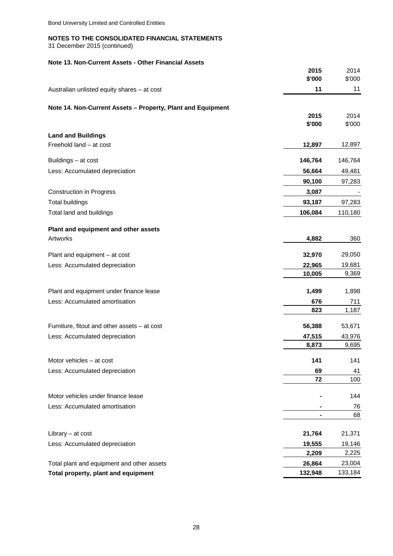31 December 2015 (continued)

### **Note 13. Non-Current Assets - Other Financial Assets**

|                                                             | 2015<br>\$'000 | 2014<br>\$'000 |
|-------------------------------------------------------------|----------------|----------------|
| Australian unlisted equity shares - at cost                 | 11             | 11             |
|                                                             |                |                |
| Note 14. Non-Current Assets - Property, Plant and Equipment |                |                |
|                                                             | 2015<br>\$'000 | 2014<br>\$'000 |
|                                                             |                |                |
| <b>Land and Buildings</b><br>Freehold land - at cost        | 12,897         | 12,897         |
|                                                             |                |                |
| Buildings - at cost                                         | 146,764        | 146,764        |
| Less: Accumulated depreciation                              | 56,664         | 49,481         |
|                                                             | 90,100         | 97,283         |
| <b>Construction in Progress</b>                             | 3,087          |                |
| <b>Total buildings</b>                                      | 93,187         | 97,283         |
| Total land and buildings                                    | 106,084        | 110,180        |
|                                                             |                |                |
| Plant and equipment and other assets<br>Artworks            | 4,882          | 360            |
|                                                             |                |                |
| Plant and equipment - at cost                               | 32,970         | 29,050         |
| Less: Accumulated depreciation                              | 22,965         | 19,681         |
|                                                             | 10,005         | 9,369          |
| Plant and equipment under finance lease                     | 1,499          | 1,898          |
| Less: Accumulated amortisation                              | 676            | 711            |
|                                                             | 823            | 1,187          |
| Furniture, fitout and other assets - at cost                | 56,388         | 53,671         |
| Less: Accumulated depreciation                              | 47,515         | 43,976         |
|                                                             | 8,873          | 9,695          |
|                                                             |                |                |
| Motor vehicles – at cost                                    | 141            | 141            |
| Less: Accumulated depreciation                              | 69<br>72       | 41<br>100      |
|                                                             |                |                |
| Motor vehicles under finance lease                          |                | 144            |
| Less: Accumulated amortisation                              |                | 76             |
|                                                             | ۰              | 68             |
| Library - at cost                                           | 21,764         | 21,371         |
| Less: Accumulated depreciation                              | 19,555         | 19,146         |
|                                                             | 2,209          | 2,225          |
| Total plant and equipment and other assets                  | 26,864         | 23,004         |
| Total property, plant and equipment                         | 132,948        | 133,184        |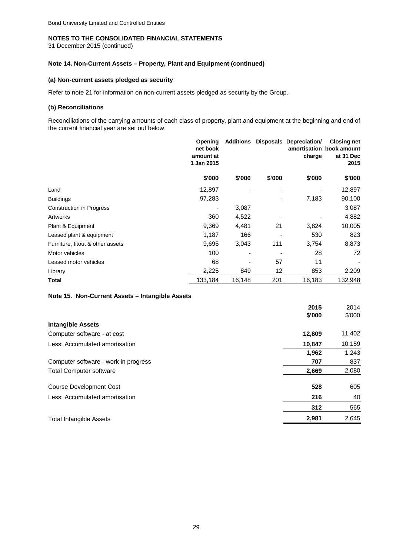31 December 2015 (continued)

### **Note 14. Non-Current Assets – Property, Plant and Equipment (continued)**

### **(a) Non-current assets pledged as security**

Refer to note 21 for information on non-current assets pledged as security by the Group.

### **(b) Reconciliations**

Reconciliations of the carrying amounts of each class of property, plant and equipment at the beginning and end of the current financial year are set out below.

| Opening<br>net book<br>amount at<br>1 Jan 2015 | <b>Additions</b>         |        |        | <b>Closing net</b><br>amortisation book amount<br>at 31 Dec<br>2015 |
|------------------------------------------------|--------------------------|--------|--------|---------------------------------------------------------------------|
| \$'000                                         | \$'000                   | \$'000 | \$'000 | \$'000                                                              |
| 12,897                                         |                          |        |        | 12,897                                                              |
| 97,283                                         |                          |        | 7,183  | 90,100                                                              |
| $\overline{\phantom{a}}$                       | 3,087                    |        |        | 3,087                                                               |
| 360                                            | 4,522                    |        |        | 4,882                                                               |
| 9,369                                          | 4,481                    | 21     | 3,824  | 10,005                                                              |
| 1,187                                          | 166                      |        | 530    | 823                                                                 |
| 9,695                                          | 3,043                    | 111    |        | 8,873                                                               |
| 100                                            | $\overline{\phantom{0}}$ |        | 28     | 72                                                                  |
| 68                                             |                          | 57     | 11     |                                                                     |
| 2,225                                          | 849                      | 12     | 853    | 2,209                                                               |
| 133,184                                        | 16,148                   | 201    | 16,183 | 132,948                                                             |
|                                                |                          |        |        | <b>Disposals Depreciation/</b><br>charge<br>3,754                   |

### **Note 15. Non-Current Assets – Intangible Assets**

|                                      | 2015   | 2014   |
|--------------------------------------|--------|--------|
|                                      | \$'000 | \$'000 |
| <b>Intangible Assets</b>             |        |        |
| Computer software - at cost          | 12,809 | 11,402 |
| Less: Accumulated amortisation       | 10,847 | 10,159 |
|                                      | 1,962  | 1,243  |
| Computer software - work in progress | 707    | 837    |
| <b>Total Computer software</b>       | 2,669  | 2,080  |
| <b>Course Development Cost</b>       | 528    | 605    |
| Less: Accumulated amortisation       | 216    | 40     |
|                                      | 312    | 565    |
| <b>Total Intangible Assets</b>       | 2,981  | 2,645  |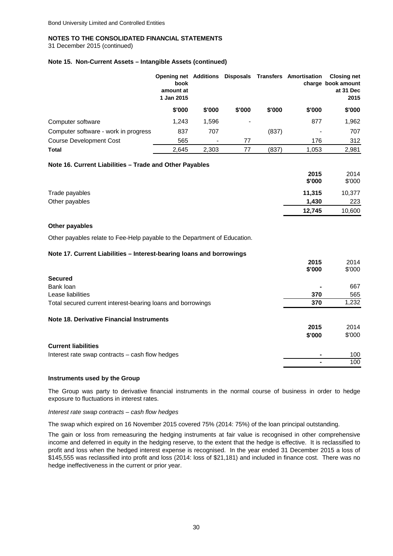31 December 2015 (continued)

### **Note 15. Non-Current Assets – Intangible Assets (continued)**

|                                      | <b>Opening net Additions</b><br>book<br>amount at<br>1 Jan 2015 |                              |        |        | Disposals Transfers Amortisation | <b>Closing net</b><br>charge book amount<br>at 31 Dec<br>2015 |
|--------------------------------------|-----------------------------------------------------------------|------------------------------|--------|--------|----------------------------------|---------------------------------------------------------------|
|                                      | \$'000                                                          | \$'000                       | \$'000 | \$'000 | \$'000                           | \$'000                                                        |
| Computer software                    | 1,243                                                           | 1,596                        |        |        | 877                              | 1,962                                                         |
| Computer software - work in progress | 837                                                             | 707                          |        | (837)  | $\,$                             | 707                                                           |
| <b>Course Development Cost</b>       | 565                                                             | $\qquad \qquad \blacksquare$ | 77     |        | 176                              | 312                                                           |
| Total                                | 2.645                                                           | 2.303                        | 77     | (837)  | 1,053                            | 2.981                                                         |

### **Note 16. Current Liabilities – Trade and Other Payables**

|                | 2015   | 2014   |
|----------------|--------|--------|
|                | \$'000 | \$'000 |
| Trade payables | 11,315 | 10,377 |
| Other payables | 1.430  | 223    |
|                | 12,745 | 10,600 |

### **Other payables**

Other payables relate to Fee-Help payable to the Department of Education.

### **Note 17. Current Liabilities – Interest-bearing loans and borrowings**

|                                                             | 2015   | 2014   |
|-------------------------------------------------------------|--------|--------|
|                                                             | \$'000 | \$'000 |
| <b>Secured</b>                                              |        |        |
| Bank loan                                                   |        | 667    |
| Lease liabilities                                           | 370    | 565    |
| Total secured current interest-bearing loans and borrowings | 370    | 1,232  |
| Note 18. Derivative Financial Instruments                   |        |        |
|                                                             | 2015   | 2014   |
|                                                             | \$'000 | \$'000 |
| <b>Current liabilities</b>                                  |        |        |
| Interest rate swap contracts - cash flow hedges             |        | 100    |
|                                                             |        | 100    |

### **Instruments used by the Group**

The Group was party to derivative financial instruments in the normal course of business in order to hedge exposure to fluctuations in interest rates.

#### *Interest rate swap contracts – cash flow hedges*

The swap which expired on 16 November 2015 covered 75% (2014: 75%) of the loan principal outstanding.

The gain or loss from remeasuring the hedging instruments at fair value is recognised in other comprehensive income and deferred in equity in the hedging reserve, to the extent that the hedge is effective. It is reclassified to profit and loss when the hedged interest expense is recognised. In the year ended 31 December 2015 a loss of \$145,555 was reclassified into profit and loss (2014: loss of \$21,181) and included in finance cost. There was no hedge ineffectiveness in the current or prior year.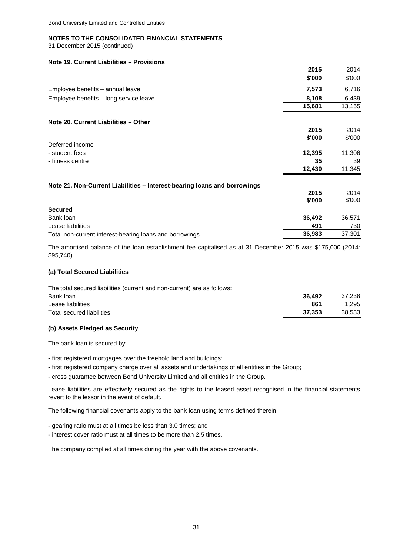31 December 2015 (continued)

### **Note 19. Current Liabilities – Provisions**

|                                                                          | 2015   | 2014   |
|--------------------------------------------------------------------------|--------|--------|
|                                                                          | \$'000 | \$'000 |
| Employee benefits - annual leave                                         | 7,573  | 6,716  |
| Employee benefits - long service leave                                   | 8,108  | 6,439  |
|                                                                          | 15,681 | 13,155 |
| Note 20. Current Liabilities - Other                                     |        |        |
|                                                                          | 2015   | 2014   |
|                                                                          | \$'000 | \$'000 |
| Deferred income                                                          |        |        |
| - student fees                                                           | 12,395 | 11,306 |
| - fitness centre                                                         | 35     | 39     |
|                                                                          | 12,430 | 11,345 |
| Note 21. Non-Current Liabilities - Interest-bearing loans and borrowings |        |        |
|                                                                          | 2015   | 2014   |
|                                                                          | \$'000 | \$'000 |
| <b>Secured</b>                                                           |        |        |
| Bank loan                                                                | 36,492 | 36,571 |
| Lease liabilities                                                        | 491    | 730    |
| Total non-current interest-bearing loans and borrowings                  | 36,983 | 37,301 |

The amortised balance of the loan establishment fee capitalised as at 31 December 2015 was \$175,000 (2014: \$95,740).

### **(a) Total Secured Liabilities**

| The total secured liabilities (current and non-current) are as follows: |        |        |
|-------------------------------------------------------------------------|--------|--------|
| Bank loan                                                               | 36.492 | 37.238 |
| Lease liabilities                                                       | 861    | 1.295  |
| Total secured liabilities                                               | 37.353 | 38.533 |

### **(b) Assets Pledged as Security**

The bank loan is secured by:

- first registered mortgages over the freehold land and buildings;
- first registered company charge over all assets and undertakings of all entities in the Group;
- cross guarantee between Bond University Limited and all entities in the Group.

Lease liabilities are effectively secured as the rights to the leased asset recognised in the financial statements revert to the lessor in the event of default.

The following financial covenants apply to the bank loan using terms defined therein:

- gearing ratio must at all times be less than 3.0 times; and
- interest cover ratio must at all times to be more than 2.5 times.

The company complied at all times during the year with the above covenants.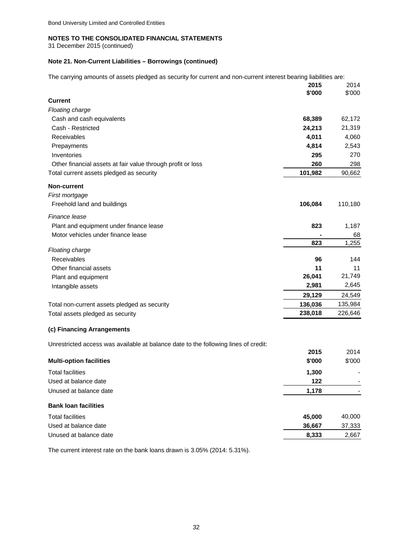31 December 2015 (continued)

### **Note 21. Non-Current Liabilities – Borrowings (continued)**

The carrying amounts of assets pledged as security for current and non-current interest bearing liabilities are:

|                                                                                     | 2015<br>\$'000 | 2014<br>\$'000 |
|-------------------------------------------------------------------------------------|----------------|----------------|
| <b>Current</b>                                                                      |                |                |
| <b>Floating charge</b>                                                              |                |                |
| Cash and cash equivalents                                                           | 68,389         | 62,172         |
| Cash - Restricted                                                                   | 24,213         | 21,319         |
| Receivables                                                                         | 4,011          | 4,060          |
| Prepayments                                                                         | 4,814          | 2,543          |
| Inventories                                                                         | 295            | 270            |
| Other financial assets at fair value through profit or loss                         | 260            | 298            |
| Total current assets pledged as security                                            | 101,982        | 90,662         |
| <b>Non-current</b>                                                                  |                |                |
| First mortgage                                                                      |                |                |
| Freehold land and buildings                                                         | 106,084        | 110,180        |
| Finance lease                                                                       |                |                |
| Plant and equipment under finance lease                                             | 823            | 1,187          |
| Motor vehicles under finance lease                                                  |                | 68             |
|                                                                                     | 823            | 1,255          |
| Floating charge<br>Receivables                                                      | 96             | 144            |
| Other financial assets                                                              | 11             | 11             |
| Plant and equipment                                                                 | 26,041         | 21,749         |
| Intangible assets                                                                   | 2,981          | 2,645          |
|                                                                                     | 29,129         | 24,549         |
| Total non-current assets pledged as security                                        | 136,036        | 135,984        |
| Total assets pledged as security                                                    | 238,018        | 226,646        |
| (c) Financing Arrangements                                                          |                |                |
| Unrestricted access was available at balance date to the following lines of credit: |                |                |
| <b>Multi-option facilities</b>                                                      | 2015<br>\$'000 | 2014<br>\$'000 |
| <b>Total facilities</b>                                                             | 1,300          |                |
| Used at balance date                                                                | 122            | $\blacksquare$ |
| Unused at balance date                                                              | 1,178          |                |
|                                                                                     |                |                |
| <b>Bank loan facilities</b>                                                         |                |                |
| <b>Total facilities</b>                                                             | 45,000         | 40,000         |
| Used at balance date                                                                | 36,667         | 37,333         |
| Unused at balance date                                                              | 8,333          | 2,667          |

The current interest rate on the bank loans drawn is 3.05% (2014: 5.31%).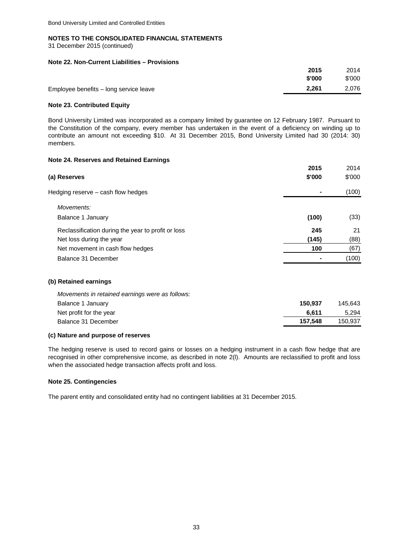31 December 2015 (continued)

### **Note 22. Non-Current Liabilities – Provisions**

|                                        | 2015   | 2014   |
|----------------------------------------|--------|--------|
|                                        | \$'000 | \$'000 |
| Employee benefits - long service leave | 2.261  | 2.076  |
|                                        |        |        |

### **Note 23. Contributed Equity**

Bond University Limited was incorporated as a company limited by guarantee on 12 February 1987. Pursuant to the Constitution of the company, every member has undertaken in the event of a deficiency on winding up to contribute an amount not exceeding \$10. At 31 December 2015, Bond University Limited had 30 (2014: 30) members.

### **Note 24. Reserves and Retained Earnings**

|                                                    | 2015   | 2014   |
|----------------------------------------------------|--------|--------|
| (a) Reserves                                       | \$'000 | \$'000 |
| Hedging reserve - cash flow hedges                 |        | (100)  |
| Movements:                                         |        |        |
| Balance 1 January                                  | (100)  | (33)   |
| Reclassification during the year to profit or loss | 245    | 21     |
| Net loss during the year                           | (145)  | (88)   |
| Net movement in cash flow hedges                   | 100    | (67)   |
| Balance 31 December                                |        | (100)  |
| (b) Retained earnings                              |        |        |
| Movements in retained earnings were as follows:    |        |        |

| Balance 1 January       | 150.937 | 145.643 |
|-------------------------|---------|---------|
| Net profit for the year | 6.611   | 5,294   |
| Balance 31 December     | 157.548 | 150.937 |
|                         |         |         |

### **(c) Nature and purpose of reserves**

The hedging reserve is used to record gains or losses on a hedging instrument in a cash flow hedge that are recognised in other comprehensive income, as described in note 2(l). Amounts are reclassified to profit and loss when the associated hedge transaction affects profit and loss.

### **Note 25. Contingencies**

The parent entity and consolidated entity had no contingent liabilities at 31 December 2015.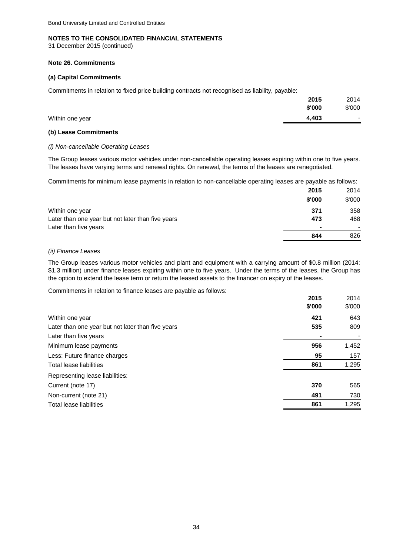31 December 2015 (continued)

### **Note 26. Commitments**

### **(a) Capital Commitments**

Commitments in relation to fixed price building contracts not recognised as liability, payable:

|                 | 2015   | 2014                     |
|-----------------|--------|--------------------------|
|                 | \$'000 | \$'000                   |
| Within one year | 4.403  | $\overline{\phantom{a}}$ |

### **(b) Lease Commitments**

### *(i) Non-cancellable Operating Leases*

The Group leases various motor vehicles under non-cancellable operating leases expiring within one to five years. The leases have varying terms and renewal rights. On renewal, the terms of the leases are renegotiated.

Commitments for minimum lease payments in relation to non-cancellable operating leases are payable as follows:

|                                                   | 2015   | 2014                     |
|---------------------------------------------------|--------|--------------------------|
|                                                   | \$'000 | \$'000                   |
| Within one year                                   | 371    | 358                      |
| Later than one year but not later than five years | 473    | 468                      |
| Later than five years                             |        | $\overline{\phantom{0}}$ |
|                                                   | 844    | 826                      |

### *(ii) Finance Leases*

The Group leases various motor vehicles and plant and equipment with a carrying amount of \$0.8 million (2014: \$1.3 million) under finance leases expiring within one to five years. Under the terms of the leases, the Group has the option to extend the lease term or return the leased assets to the financer on expiry of the leases.

Commitments in relation to finance leases are payable as follows:

|                                                   | 2015   | 2014   |
|---------------------------------------------------|--------|--------|
|                                                   | \$'000 | \$'000 |
| Within one year                                   | 421    | 643    |
| Later than one year but not later than five years | 535    | 809    |
| Later than five years                             |        |        |
| Minimum lease payments                            | 956    | 1,452  |
| Less: Future finance charges                      | 95     | 157    |
| Total lease liabilities                           | 861    | 1,295  |
| Representing lease liabilities:                   |        |        |
| Current (note 17)                                 | 370    | 565    |
| Non-current (note 21)                             | 491    | 730    |
| Total lease liabilities                           | 861    | 1,295  |
|                                                   |        |        |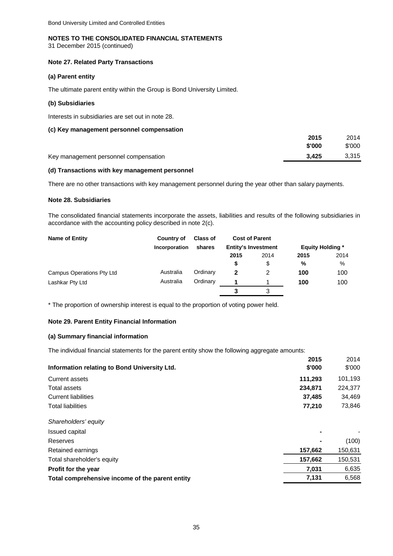### **NOTES TO THE CONSOLIDATED FINANCIAL STATEMENTS**

31 December 2015 (continued)

### **Note 27. Related Party Transactions**

### **(a) Parent entity**

The ultimate parent entity within the Group is Bond University Limited.

### **(b) Subsidiaries**

Interests in subsidiaries are set out in note 28.

### **(c) Key management personnel compensation**

|                                       | 2015   | 2014   |
|---------------------------------------|--------|--------|
|                                       | \$'000 | \$'000 |
| Key management personnel compensation | 3.425  | 3.315  |

### **(d) Transactions with key management personnel**

There are no other transactions with key management personnel during the year other than salary payments.

### **Note 28. Subsidiaries**

The consolidated financial statements incorporate the assets, liabilities and results of the following subsidiaries in accordance with the accounting policy described in note 2(c).

| Name of Entity            | Country of    | <b>Class of</b> |      | <b>Cost of Parent</b>      |                         |      |  |
|---------------------------|---------------|-----------------|------|----------------------------|-------------------------|------|--|
|                           | Incorporation | shares          |      | <b>Entity's Investment</b> | <b>Equity Holding *</b> |      |  |
|                           |               |                 | 2015 | 2014                       | 2015                    | 2014 |  |
|                           |               |                 | S    | \$                         | %                       | %    |  |
| Campus Operations Pty Ltd | Australia     | Ordinary        | 2    | 2                          | 100                     | 100  |  |
| Lashkar Pty Ltd           | Australia     | Ordinary        |      |                            | 100                     | 100  |  |
|                           |               |                 | 3    | 3                          |                         |      |  |

\* The proportion of ownership interest is equal to the proportion of voting power held.

### **Note 29. Parent Entity Financial Information**

### **(a) Summary financial information**

The individual financial statements for the parent entity show the following aggregate amounts:

| 2015<br>Information relating to Bond University Ltd.<br>\$'000 | 2014<br>\$'000 |
|----------------------------------------------------------------|----------------|
| 111,293<br>Current assets                                      | 101,193        |
| 234,871<br>Total assets                                        | 224,377        |
| <b>Current liabilities</b><br>37,485                           | 34,469         |
| 77,210<br><b>Total liabilities</b>                             | 73,846         |
| Shareholders' equity                                           |                |
| <b>Issued capital</b>                                          |                |
| Reserves                                                       | (100)          |
| 157,662<br>Retained earnings                                   | 150,631        |
| 157,662<br>Total shareholder's equity                          | 150,531        |
| 7,031<br><b>Profit for the year</b>                            | 6,635          |
| 7,131<br>Total comprehensive income of the parent entity       | 6,568          |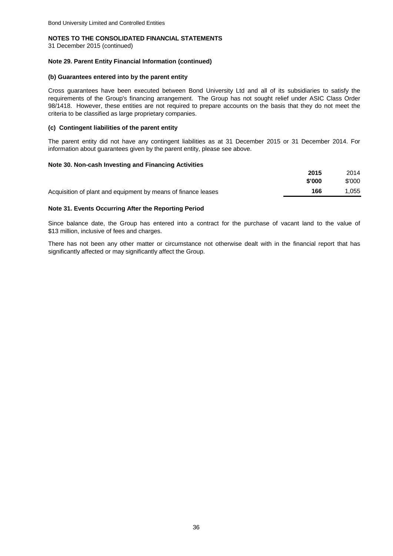31 December 2015 (continued)

### **Note 29. Parent Entity Financial Information (continued)**

#### **(b) Guarantees entered into by the parent entity**

Cross guarantees have been executed between Bond University Ltd and all of its subsidiaries to satisfy the requirements of the Group's financing arrangement. The Group has not sought relief under ASIC Class Order 98/1418. However, these entities are not required to prepare accounts on the basis that they do not meet the criteria to be classified as large proprietary companies.

### **(c) Contingent liabilities of the parent entity**

The parent entity did not have any contingent liabilities as at 31 December 2015 or 31 December 2014. For information about guarantees given by the parent entity, please see above.

### **Note 30. Non-cash Investing and Financing Activities**

|                                                               | 2015   | 2014   |
|---------------------------------------------------------------|--------|--------|
|                                                               | \$'000 | \$'000 |
| Acquisition of plant and equipment by means of finance leases | 166    | 1.055  |

### **Note 31. Events Occurring After the Reporting Period**

Since balance date, the Group has entered into a contract for the purchase of vacant land to the value of \$13 million, inclusive of fees and charges.

There has not been any other matter or circumstance not otherwise dealt with in the financial report that has significantly affected or may significantly affect the Group.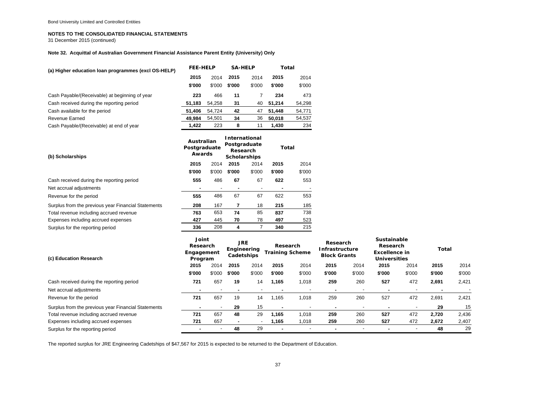31 December 2015 (continued)

#### **Note 32. Acquittal of Australian Government Financial Assistance Parent Entity (University) Only**

| (a) Higher education loan programmes (excl OS-HELP) |                                                        | <b>FEE-HELP</b> |                | <b>SA-HELP</b>                                                                  | Total          |               |  |
|-----------------------------------------------------|--------------------------------------------------------|-----------------|----------------|---------------------------------------------------------------------------------|----------------|---------------|--|
|                                                     | 2015                                                   | 2014            | 2015           | 2014                                                                            | 2015           | 2014          |  |
|                                                     | \$'000                                                 | \$'000          | \$'000         | \$'000                                                                          | \$'000         | \$'000        |  |
| Cash Payable/(Receivable) at beginning of year      | 223                                                    | 466             | 11             | $\overline{7}$                                                                  | 234            | 473           |  |
| Cash received during the reporting period           | 51,183                                                 | 54,258          | 31             | 40                                                                              | 51,214         | 54,298        |  |
| Cash available for the period                       | 51,406                                                 | 54,724          | 42             | 47                                                                              | 51,448         | 54,771        |  |
| <b>Revenue Earned</b>                               | 49,984                                                 | 54,501          | 34             | 36                                                                              | 50,018         | 54,537        |  |
| Cash Payable/(Receivable) at end of year            | 1,422                                                  | 223             | 8              | 11                                                                              | 1,430          | 234           |  |
| (b) Scholarships                                    | Australian<br>Postgraduate<br>Awards<br>2015<br>\$'000 | 2014<br>\$'000  | 2015<br>\$'000 | <b>International</b><br>Postgraduate<br>Research<br><b>Scholarships</b><br>2014 | 2015<br>\$'000 | Total<br>2014 |  |
| Cash received during the reporting period           | 555                                                    | 486             | 67             | \$'000<br>67                                                                    | 622            | \$'000<br>553 |  |
| Net accrual adjustments                             |                                                        |                 |                | $\overline{a}$                                                                  |                |               |  |
| Revenue for the period                              | 555                                                    | 486             | 67             | 67                                                                              | 622            | 553           |  |
| Surplus from the previous year Financial Statements | 208                                                    | 167             | 7              | 18                                                                              | 215            | 185           |  |
| Total revenue including accrued revenue             | 763                                                    | 653             | 74             | 85                                                                              | 837            | 738           |  |
| Expenses including accrued expenses                 | 427                                                    | 445             | 70             | 78                                                                              | 497            | 523           |  |
| Surplus for the reporting period                    | 336                                                    | 208             | 4              | 7                                                                               | 340            | 215           |  |

| (c) Education Research                              |        | Joint<br><b>JRE</b><br>Research<br>Engineering<br>Engagement<br>Cadetships<br>Program |        | Research<br><b>Training Scheme</b> |                | Research<br><b>Infrastructure</b><br><b>Block Grants</b> |        | <b>Sustainable</b><br>Research<br><b>Excellence in</b><br><b>Universities</b> |                          | <b>Total</b> |                |        |
|-----------------------------------------------------|--------|---------------------------------------------------------------------------------------|--------|------------------------------------|----------------|----------------------------------------------------------|--------|-------------------------------------------------------------------------------|--------------------------|--------------|----------------|--------|
|                                                     | 2015   | 2014                                                                                  | 2015   | 2014                               | 2015           | 2014                                                     | 2015   | 2014                                                                          | 2015                     | 2014         | 2015           | 2014   |
|                                                     | \$'000 | \$'000                                                                                | \$'000 | \$'000                             | \$'000         | \$'000                                                   | \$'000 | \$'000                                                                        | \$'000                   | \$'000       | \$'000         | \$'000 |
| Cash received during the reporting period           | 721    | 657                                                                                   | 19     | 14                                 | 1,165          | 1,018                                                    | 259    | 260                                                                           | 527                      | 472          | 2,691          | 2,421  |
| Net accrual adjustments                             |        |                                                                                       |        |                                    | $\blacksquare$ |                                                          |        |                                                                               | $\overline{\phantom{0}}$ |              | $\blacksquare$ |        |
| Revenue for the period                              | 721    | 657                                                                                   | 19     | 14                                 | 1.165          | 018.ا                                                    | 259    | 260                                                                           | 527                      | 472          | 2,691          | 2,421  |
| Surplus from the previous year Financial Statements |        |                                                                                       | 29     | 15                                 |                |                                                          |        | $\overline{\phantom{a}}$                                                      |                          |              | 29             | 15     |
| Total revenue including accrued revenue             | 721    | 657                                                                                   | 48     | 29                                 | 1.165          | 0.018                                                    | 259    | 260                                                                           | 527                      | 472          | 2.720          | 2,436  |
| Expenses including accrued expenses                 | 721    | 657                                                                                   |        |                                    | 165. ا         | 1,018                                                    | 259    | 260                                                                           | 527                      | 472          | 2,672          | 2,407  |
| Surplus for the reporting period                    |        |                                                                                       | 48     | 29                                 | ٠              |                                                          |        | $\overline{\phantom{a}}$                                                      |                          |              | 48             | 29     |

The reported surplus for JRE Engineering Cadetships of \$47,567 for 2015 is expected to be returned to the Department of Education.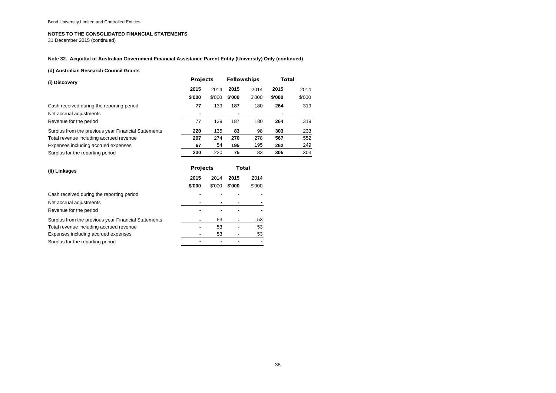31 December 2015 (continued)

### **Note 32. Acquittal of Australian Government Financial Assistance Parent Entity (University) Only (continued)**

#### **(d) Australian Research Council Grants**

| (i) Discovery                                       | <b>Projects</b> |        | <b>Fellowships</b> |                          | Total  |        |
|-----------------------------------------------------|-----------------|--------|--------------------|--------------------------|--------|--------|
|                                                     | 2015            | 2014   | 2015               | 2014                     | 2015   | 2014   |
|                                                     | \$'000          | \$'000 | \$'000             | \$'000                   | \$'000 | \$'000 |
| Cash received during the reporting period           | 77              | 139    | 187                | 180                      | 264    | 319    |
| Net accrual adjustments                             |                 |        |                    | $\overline{\phantom{a}}$ | ۰      |        |
| Revenue for the period                              | 77              | 139    | 187                | 180                      | 264    | 319    |
| Surplus from the previous year Financial Statements | 220             | 135    | 83                 | 98                       | 303    | 233    |
| Total revenue including accrued revenue             | 297             | 274    | 270                | 278                      | 567    | 552    |
| Expenses including accrued expenses                 | 67              | 54     | 195                | 195                      | 262    | 249    |
| Surplus for the reporting period                    | 230             | 220    | 75                 | 83                       | 305    | 303    |

| (ii) Linkages                                       | <b>Projects</b> |        | Total  |        |  |  |
|-----------------------------------------------------|-----------------|--------|--------|--------|--|--|
|                                                     | 2015            | 2014   | 2015   | 2014   |  |  |
|                                                     | \$'000          | \$'000 | \$'000 | \$'000 |  |  |
| Cash received during the reporting period           |                 |        |        |        |  |  |
| Net accrual adjustments                             |                 |        |        |        |  |  |
| Revenue for the period                              |                 |        |        |        |  |  |
| Surplus from the previous year Financial Statements |                 | 53     | ۰      | 53     |  |  |
| Total revenue including accrued revenue             |                 | 53     | ۰      | 53     |  |  |
| Expenses including accrued expenses                 |                 | 53     |        | 53     |  |  |
| Surplus for the reporting period                    |                 |        |        |        |  |  |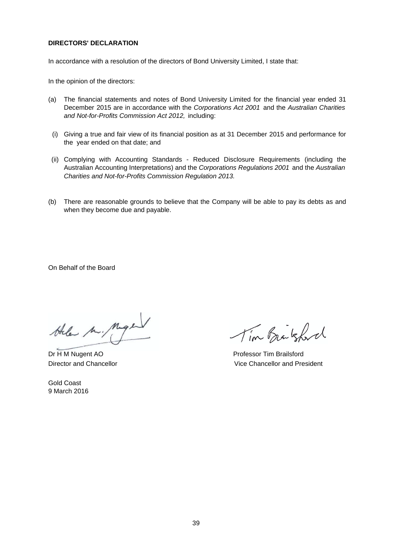### **DIRECTORS' DECLARATION**

In accordance with a resolution of the directors of Bond University Limited, I state that:

In the opinion of the directors:

- (a) The financial statements and notes of Bond University Limited for the financial year ended 31 December 2015 are in accordance with the *Corporations Act 2001* and the *Australian Charities and Not-for-Profits Commission Act 2012,* including:
- (i) Giving a true and fair view of its financial position as at 31 December 2015 and performance for the year ended on that date; and
- (ii) Complying with Accounting Standards Reduced Disclosure Requirements (including the Australian Accounting Interpretations) and the *Corporations Regulations 2001* and the *Australian Charities and Not-for-Profits Commission Regulation 2013.*
- (b) There are reasonable grounds to believe that the Company will be able to pay its debts as and when they become due and payable.

On Behalf of the Board

the M. Mige

Gold Coast 9 March 2016

Tim Brakford

Dr H M Nugent AO **Professor Tim Brailsford** Director and Chancellor Vice Chancellor and President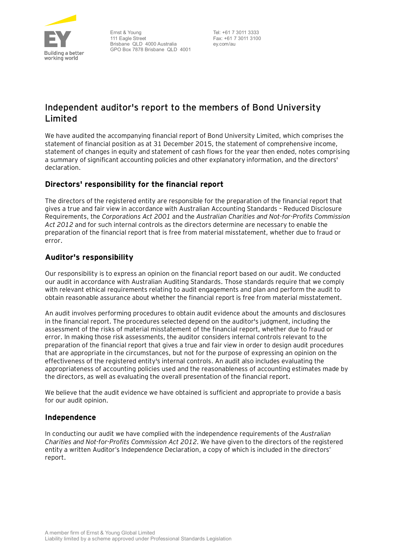

Ernst & Young 111 Eagle Street Brisbane QLD 4000 Australia GPO Box 7878 Brisbane QLD 4001

 Tel: +61 7 3011 3333 Fax: +61 7 3011 3100 ey.com/au

# **Independent auditor's report to the members of Bond University Limited**

We have audited the accompanying financial report of Bond University Limited, which comprises the statement of financial position as at 31 December 2015, the statement of comprehensive income, statement of changes in equity and statement of cash flows for the year then ended, notes comprising a summary of significant accounting policies and other explanatory information, and the directors' declaration.

# **Directors' responsibility for the financial report**

The directors of the registered entity are responsible for the preparation of the financial report that gives a true and fair view in accordance with Australian Accounting Standards – Reduced Disclosure Requirements, the *Corporations Act 2001* and the *Australian Charities and Not-for-Profits Commission Act 2012* and for such internal controls as the directors determine are necessary to enable the preparation of the financial report that is free from material misstatement, whether due to fraud or error.

# **Auditor's responsibility**

Our responsibility is to express an opinion on the financial report based on our audit. We conducted our audit in accordance with Australian Auditing Standards. Those standards require that we comply with relevant ethical requirements relating to audit engagements and plan and perform the audit to obtain reasonable assurance about whether the financial report is free from material misstatement.

An audit involves performing procedures to obtain audit evidence about the amounts and disclosures in the financial report. The procedures selected depend on the auditor's judgment, including the assessment of the risks of material misstatement of the financial report, whether due to fraud or error. In making those risk assessments, the auditor considers internal controls relevant to the preparation of the financial report that gives a true and fair view in order to design audit procedures that are appropriate in the circumstances, but not for the purpose of expressing an opinion on the effectiveness of the registered entity's internal controls. An audit also includes evaluating the appropriateness of accounting policies used and the reasonableness of accounting estimates made by the directors, as well as evaluating the overall presentation of the financial report.

We believe that the audit evidence we have obtained is sufficient and appropriate to provide a basis for our audit opinion.

# **Independence**

In conducting our audit we have complied with the independence requirements of the *Australian Charities and Not-for-Profits Commission Act 2012*. We have given to the directors of the registered entity a written Auditor's Independence Declaration, a copy of which is included in the directors' report.